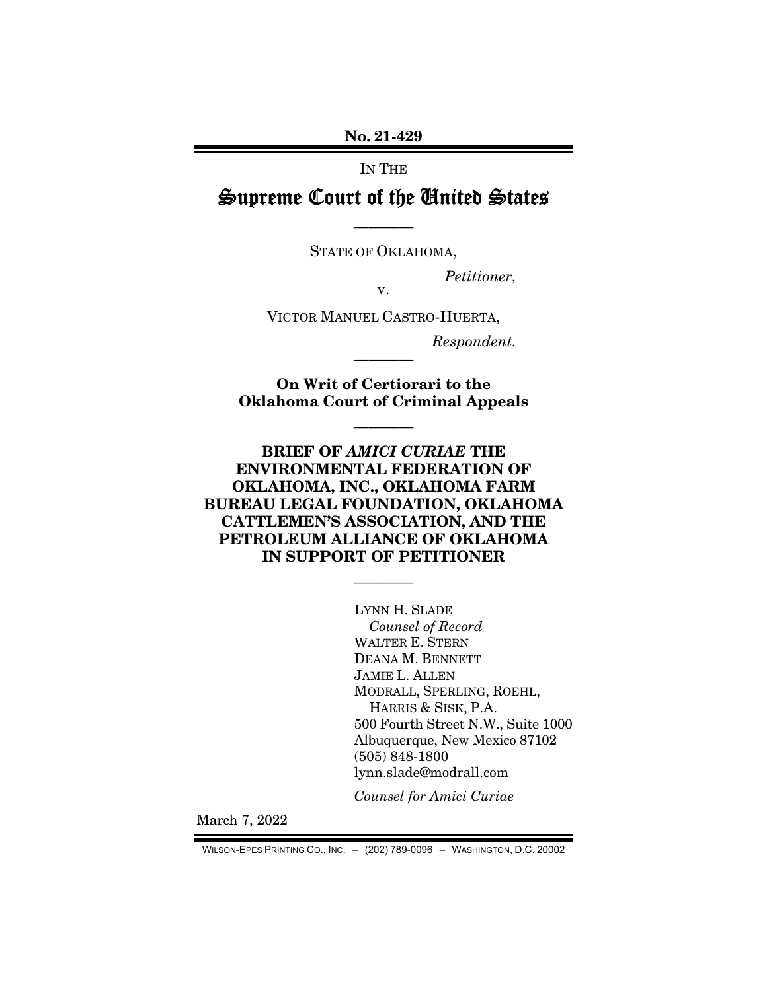No. 21-429

IN THE

# Supreme Court of the United States

STATE OF OKLAHOMA,

————

*Petitioner,* 

v.

VICTOR MANUEL CASTRO-HUERTA,

*Respondent.* 

On Writ of Certiorari to the Oklahoma Court of Criminal Appeals

————

————

BRIEF OF *AMICI CURIAE* THE ENVIRONMENTAL FEDERATION OF OKLAHOMA, INC., OKLAHOMA FARM BUREAU LEGAL FOUNDATION, OKLAHOMA CATTLEMEN'S ASSOCIATION, AND THE PETROLEUM ALLIANCE OF OKLAHOMA IN SUPPORT OF PETITIONER

————

LYNN H. SLADE *Counsel of Record*  WALTER E. STERN DEANA M. BENNETT JAMIE L. ALLEN MODRALL, SPERLING, ROEHL, HARRIS & SISK, P.A. 500 Fourth Street N.W., Suite 1000 Albuquerque, New Mexico 87102 (505) 848-1800 lynn.slade@modrall.com

*Counsel for Amici Curiae* 

March 7, 2022

WILSON-EPES PRINTING CO., INC. – (202) 789-0096 – WASHINGTON, D.C. 20002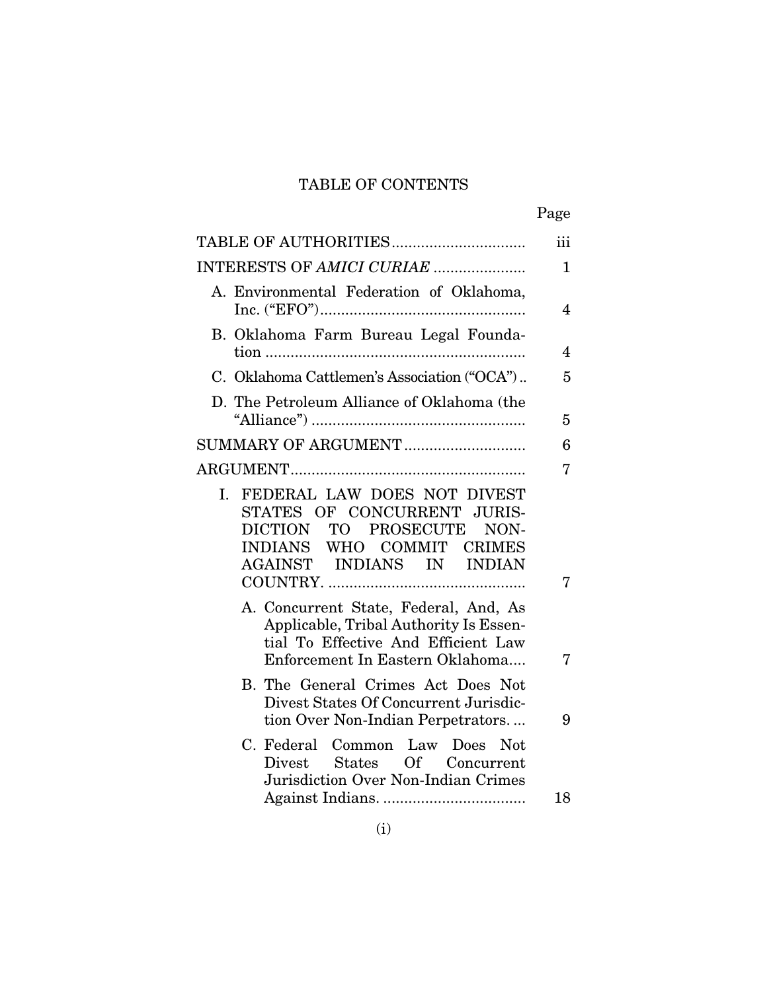# TABLE OF CONTENTS

|                                                                                                                                                           | Page           |
|-----------------------------------------------------------------------------------------------------------------------------------------------------------|----------------|
|                                                                                                                                                           | iii            |
| INTERESTS OF AMICI CURIAE                                                                                                                                 | $\mathbf{1}$   |
| A. Environmental Federation of Oklahoma,                                                                                                                  | 4              |
| B. Oklahoma Farm Bureau Legal Founda-                                                                                                                     | $\overline{4}$ |
| C. Oklahoma Cattlemen's Association ("OCA")                                                                                                               | 5              |
| D. The Petroleum Alliance of Oklahoma (the                                                                                                                | 5              |
| SUMMARY OF ARGUMENT                                                                                                                                       | 6              |
|                                                                                                                                                           | 7              |
| I. FEDERAL LAW DOES NOT DIVEST<br>STATES OF CONCURRENT JURIS-<br>DICTION TO PROSECUTE<br>NON-<br>INDIANS WHO COMMIT CRIMES<br>AGAINST INDIANS IN INDIAN   | 7              |
| A. Concurrent State, Federal, And, As<br>Applicable, Tribal Authority Is Essen-<br>tial To Effective And Efficient Law<br>Enforcement In Eastern Oklahoma | 7              |
| B. The General Crimes Act Does Not<br>Divest States Of Concurrent Jurisdic-<br>tion Over Non-Indian Perpetrators                                          | 9              |
| C. Federal Common Law Does<br>Not.<br>States Of Concurrent<br>Divest<br>Jurisdiction Over Non-Indian Crimes                                               | 18             |
|                                                                                                                                                           |                |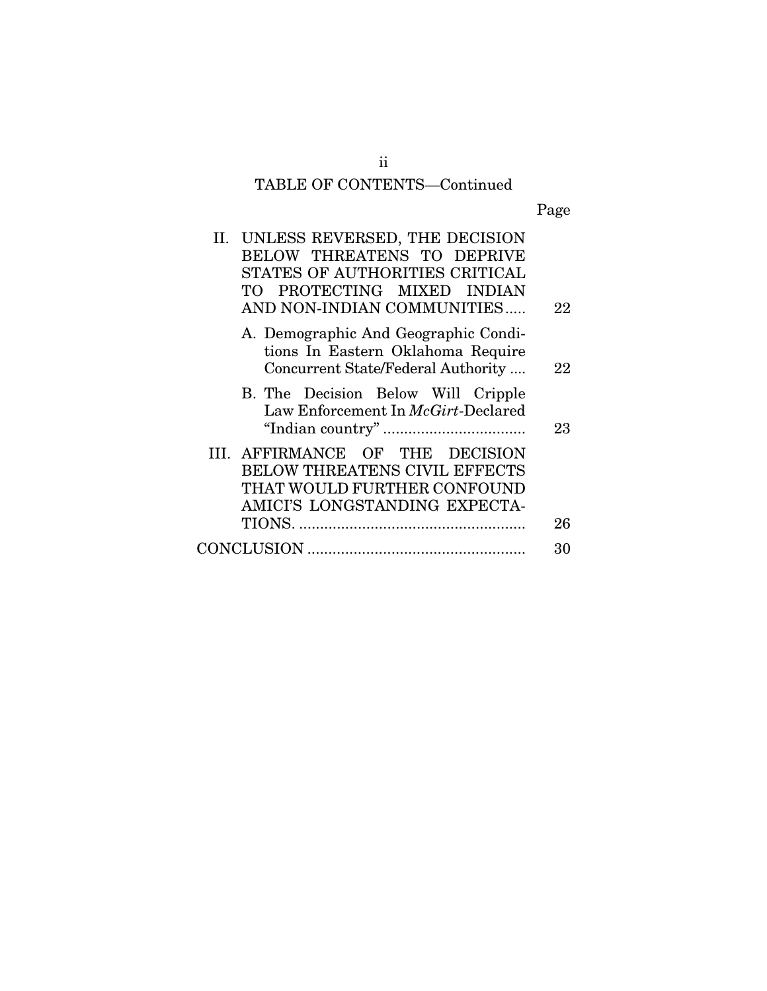# TABLE OF CONTENTS—Continued

Page

| II. UNLESS REVERSED, THE DECISION<br>BELOW THREATENS TO DEPRIVE<br>STATES OF AUTHORITIES CRITICAL<br>TO PROTECTING MIXED INDIAN<br>AND NON-INDIAN COMMUNITIES | 22 |
|---------------------------------------------------------------------------------------------------------------------------------------------------------------|----|
| A. Demographic And Geographic Condi-<br>tions In Eastern Oklahoma Require<br>Concurrent State/Federal Authority                                               | 22 |
| B. The Decision Below Will Cripple<br>Law Enforcement In McGirt-Declared                                                                                      | 23 |
| III. AFFIRMANCE OF THE DECISION<br>BELOW THREATENS CIVIL EFFECTS<br>THAT WOULD FURTHER CONFOUND<br>AMICI'S LONGSTANDING EXPECTA-                              | 26 |
|                                                                                                                                                               | 30 |

ii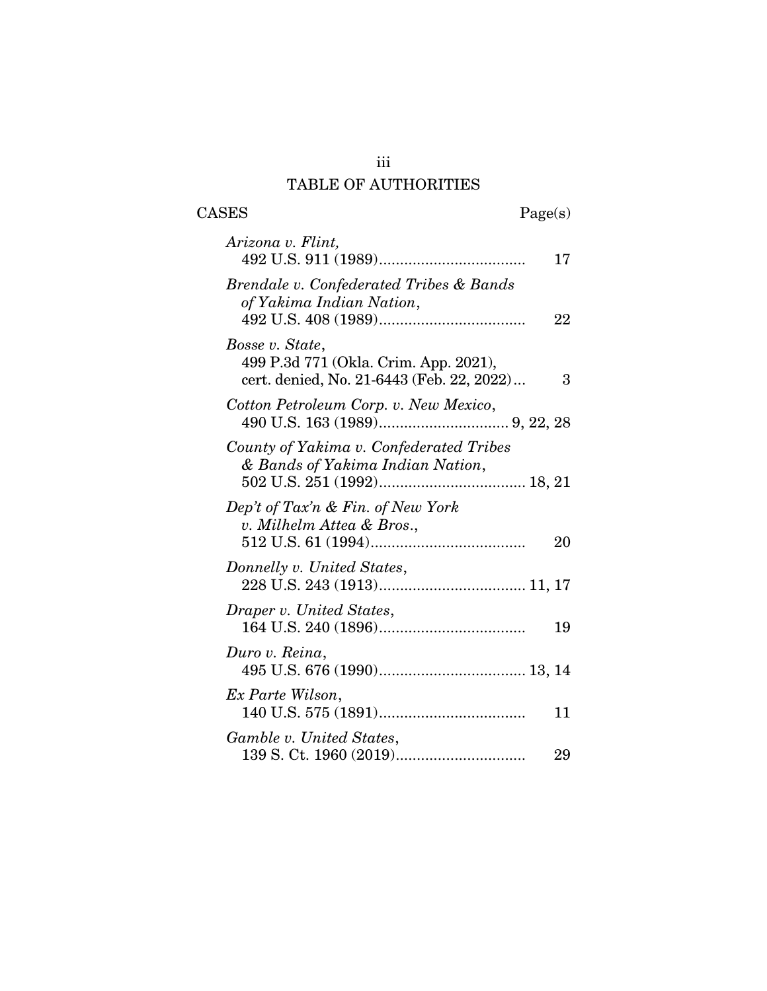# iii TABLE OF AUTHORITIES

 $\begin{tabular}{cc} \textbf{CASES} & \textbf{Page(s)}\\ \end{tabular}$ 

| Arizona v. Flint,                                                                                     | 17 |
|-------------------------------------------------------------------------------------------------------|----|
| Brendale v. Confederated Tribes & Bands<br>of Yakima Indian Nation,                                   | 22 |
| Bosse v. State,<br>499 P.3d 771 (Okla. Crim. App. 2021),<br>cert. denied, No. 21-6443 (Feb. 22, 2022) | 3  |
| Cotton Petroleum Corp. v. New Mexico,                                                                 |    |
| County of Yakima v. Confederated Tribes<br>& Bands of Yakima Indian Nation,                           |    |
| Dep't of Tax'n & Fin. of New York<br>v. Milhelm Attea & Bros.,                                        | 20 |
| Donnelly v. United States,                                                                            |    |
| Draper v. United States,                                                                              | 19 |
| Duro v. Reina,                                                                                        |    |
| Ex Parte Wilson,                                                                                      | 11 |
| Gamble v. United States,                                                                              | 29 |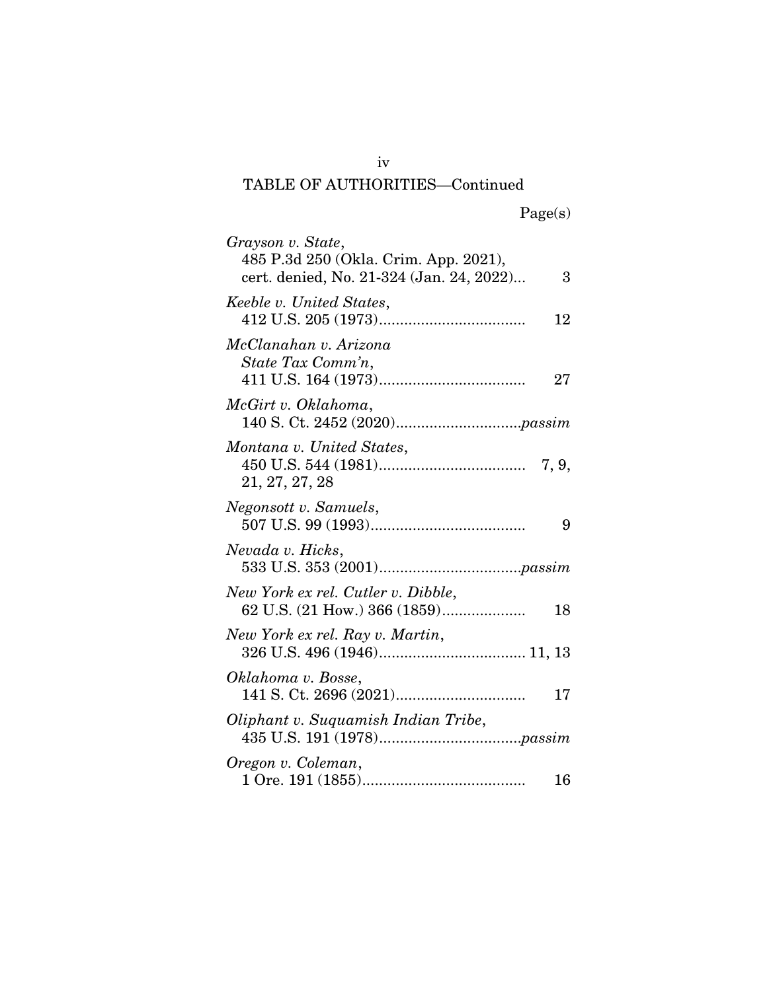# TABLE OF AUTHORITIES—Continued

| Grayson v. State,<br>485 P.3d 250 (Okla. Crim. App. 2021),<br>cert. denied, No. 21-324 (Jan. 24, 2022) | 3  |
|--------------------------------------------------------------------------------------------------------|----|
| Keeble v. United States,                                                                               | 12 |
| McClanahan v. Arizona<br>State Tax Comm'n,                                                             | 27 |
| McGirt v. Oklahoma,                                                                                    |    |
| Montana v. United States,<br>21, 27, 27, 28                                                            |    |
| Negonsott v. Samuels,                                                                                  | 9  |
| Nevada v. Hicks,                                                                                       |    |
| New York ex rel. Cutler v. Dibble,<br>62 U.S. (21 How.) 366 (1859)                                     | 18 |
| New York ex rel. Ray v. Martin,                                                                        |    |
| Oklahoma v. Bosse,                                                                                     | 17 |
| Oliphant v. Suquamish Indian Tribe,                                                                    |    |
| Oregon v. Coleman,                                                                                     | 16 |

iv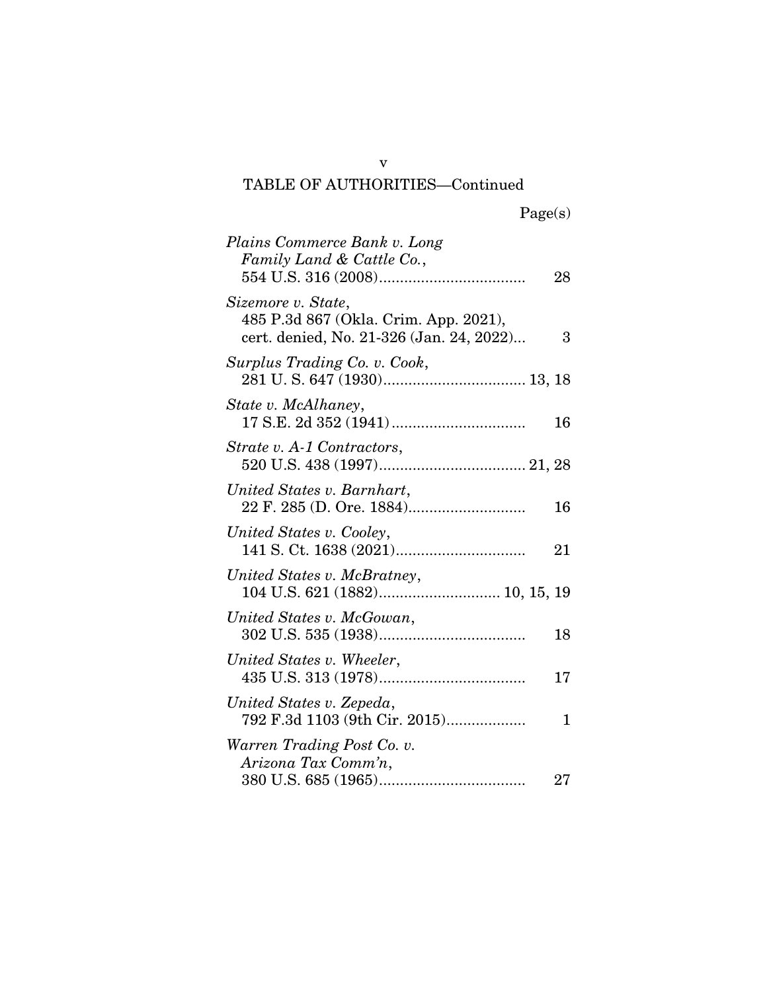# TABLE OF AUTHORITIES—Continued

| Plains Commerce Bank v. Long<br>Family Land & Cattle Co.,                                               | 28     |
|---------------------------------------------------------------------------------------------------------|--------|
| Sizemore v. State,<br>485 P.3d 867 (Okla. Crim. App. 2021),<br>cert. denied, No. 21-326 (Jan. 24, 2022) | 3      |
| Surplus Trading Co. v. Cook,                                                                            |        |
| State v. McAlhaney,                                                                                     | 16     |
| Strate v. A-1 Contractors,                                                                              |        |
| United States v. Barnhart,                                                                              | 16     |
| United States v. Cooley,                                                                                | 21     |
| United States v. McBratney,                                                                             |        |
| United States v. McGowan,                                                                               | 18     |
| United States v. Wheeler,                                                                               | 17     |
| United States v. Zepeda,<br>792 F.3d 1103 (9th Cir. 2015)                                               | 1      |
| Warren Trading Post Co. v.<br>Arizona Tax Comm'n,                                                       | $27\,$ |

v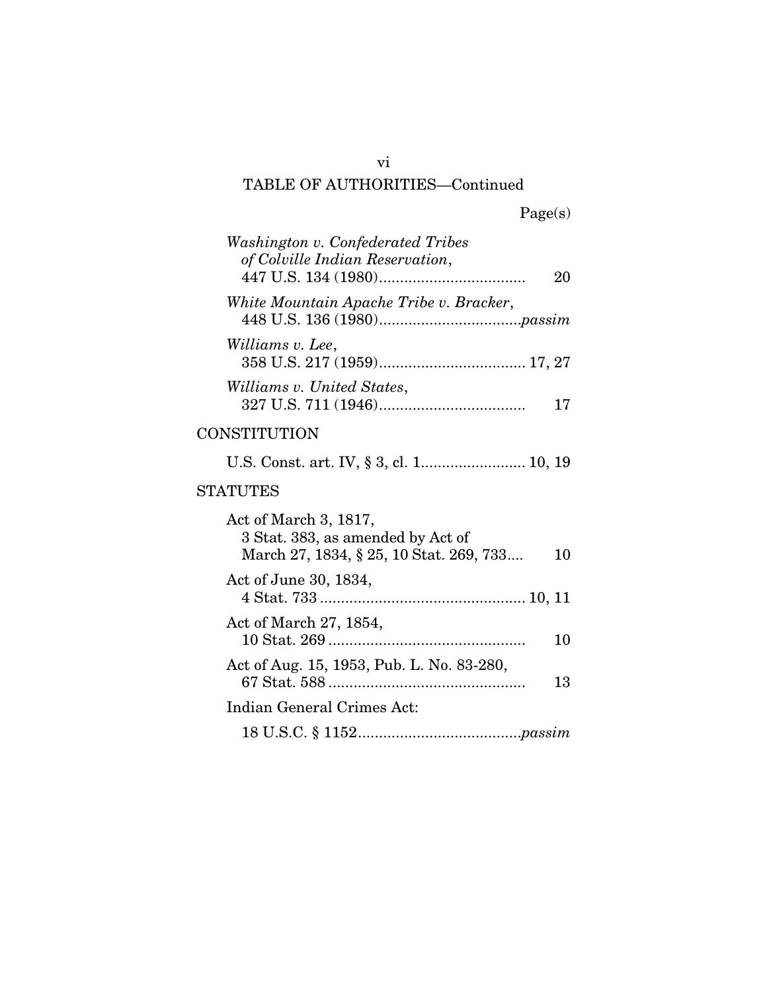# TABLE OF AUTHORITIES—Continued

| Washington v. Confederated Tribes<br>of Colville Indian Reservation,<br>20                                  |
|-------------------------------------------------------------------------------------------------------------|
| White Mountain Apache Tribe v. Bracker,                                                                     |
| Williams v. Lee,                                                                                            |
| Williams v. United States,<br>17                                                                            |
| CONSTITUTION                                                                                                |
| U.S. Const. art. IV, § 3, cl. 1 10, 19                                                                      |
| <b>STATUTES</b>                                                                                             |
| Act of March 3, 1817,<br>3 Stat. 383, as amended by Act of<br>March 27, 1834, § 25, 10 Stat. 269, 733<br>10 |
| Act of June 30, 1834,                                                                                       |
| Act of March 27, 1854,<br>10                                                                                |
| Act of Aug. 15, 1953, Pub. L. No. 83-280,<br>13                                                             |
| Indian General Crimes Act:                                                                                  |
|                                                                                                             |

vi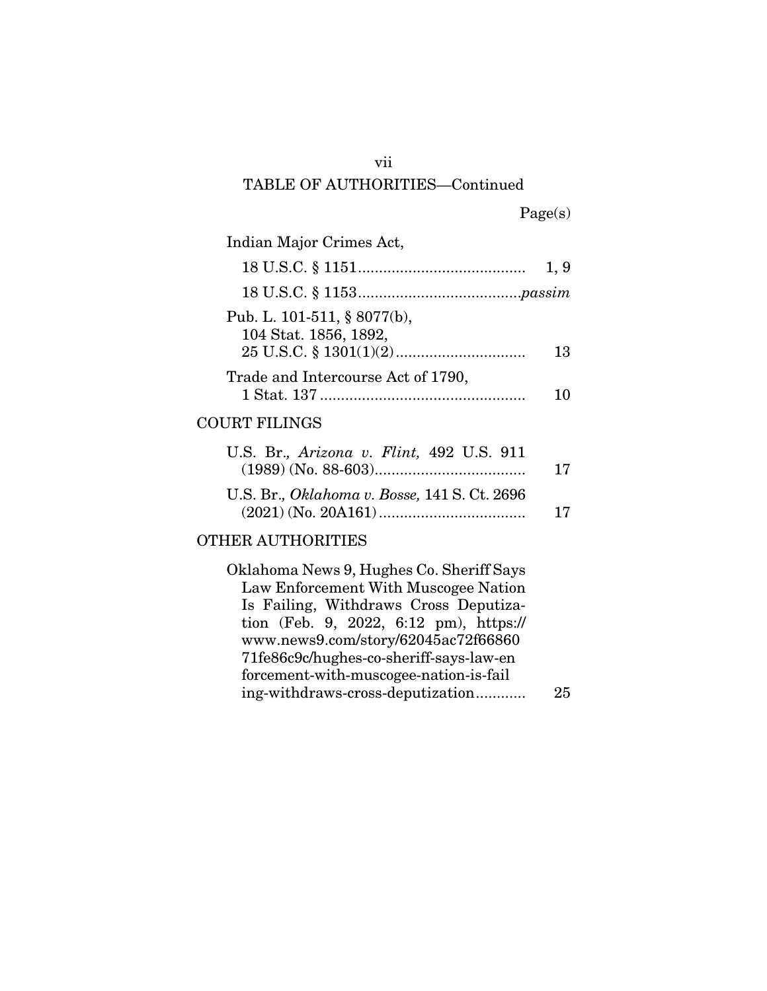#### vii

### TABLE OF AUTHORITIES—Continued

|  | Page(s) |
|--|---------|
|  |         |

| Indian Major Crimes Act,                             |      |
|------------------------------------------------------|------|
|                                                      | 1, 9 |
|                                                      |      |
| Pub. L. 101-511, § 8077(b),<br>104 Stat. 1856, 1892, | 13   |
| Trade and Intercourse Act of 1790,                   |      |
| <b>COURT FILINGS</b>                                 |      |

## U.S. Br.*, Arizona v. Flint,* 492 U.S. 911 (1989) (No. 88-603) .................................... 17 U.S. Br.*, Oklahoma v. Bosse,* 141 S. Ct. 2696 (2021) (No. 20A161) ................................... 17

### OTHER AUTHORITIES

| Oklahoma News 9, Hughes Co. Sheriff Says |    |
|------------------------------------------|----|
| Law Enforcement With Muscogee Nation     |    |
| Is Failing, Withdraws Cross Deputiza-    |    |
| tion (Feb. 9, 2022, 6:12 pm), https://   |    |
| www.news9.com/story/62045ac72f66860      |    |
| 71fe86c9c/hughes-co-sheriff-says-law-en  |    |
| forcement-with-muscogee-nation-is-fail   |    |
| ing-withdraws-cross-deputization         | 25 |
|                                          |    |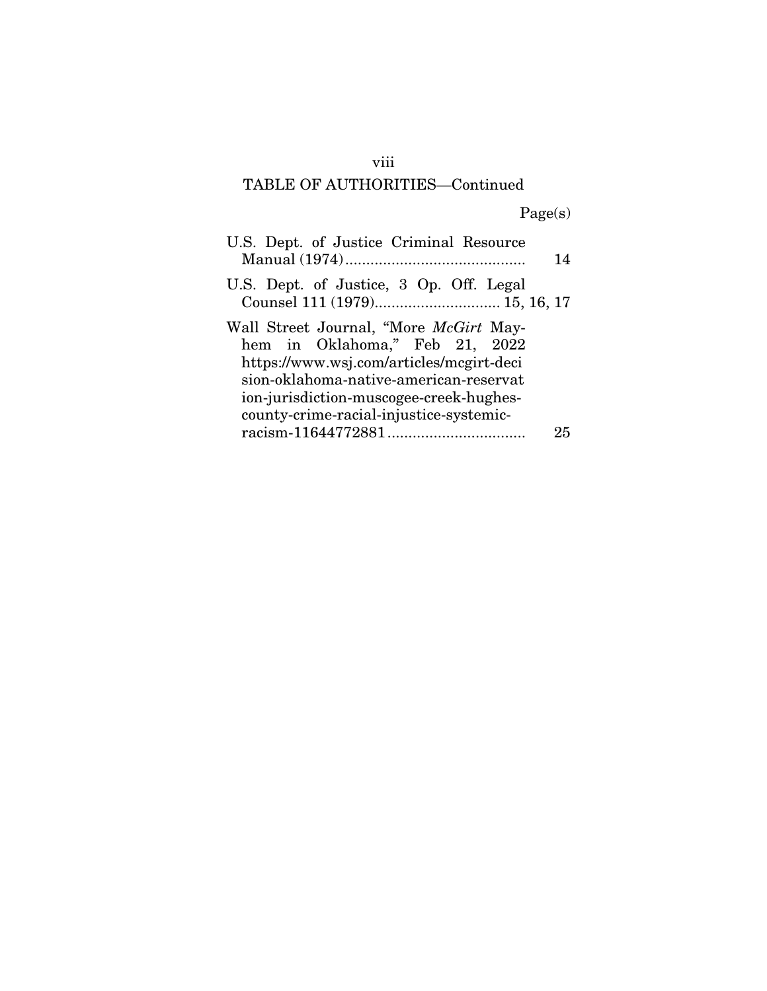# viii

# TABLE OF AUTHORITIES—Continued

Page(s)

| U.S. Dept. of Justice Criminal Resource                                  |    |
|--------------------------------------------------------------------------|----|
|                                                                          | 14 |
| U.S. Dept. of Justice, 3 Op. Off. Legal<br>Counsel 111 (1979) 15, 16, 17 |    |
| Wall Street Journal, "More <i>McGirt</i> May-                            |    |
| hem in Oklahoma," Feb 21, 2022                                           |    |
| https://www.wsj.com/articles/mcgirt-deci                                 |    |
| sion-oklahoma-native-american-reservat                                   |    |
| ion-jurisdiction-muscogee-creek-hughes-                                  |    |
| county-crime-racial-injustice-systemic-                                  |    |
|                                                                          | 25 |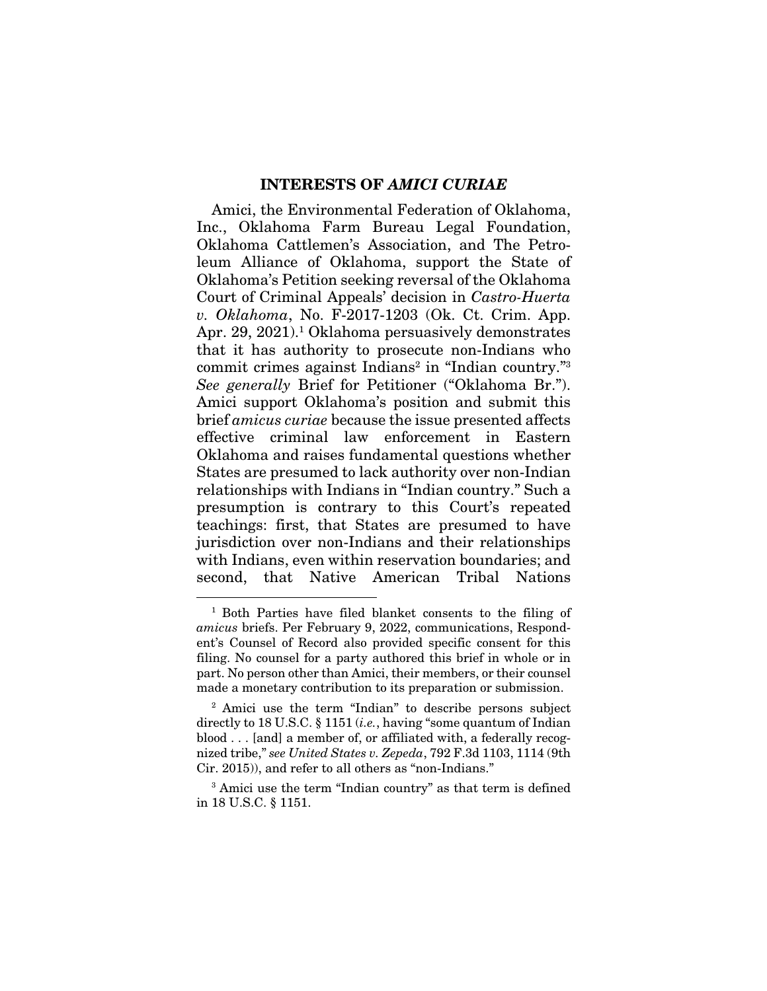#### INTERESTS OF *AMICI CURIAE*

Amici, the Environmental Federation of Oklahoma, Inc., Oklahoma Farm Bureau Legal Foundation, Oklahoma Cattlemen's Association, and The Petroleum Alliance of Oklahoma, support the State of Oklahoma's Petition seeking reversal of the Oklahoma Court of Criminal Appeals' decision in *Castro-Huerta v. Oklahoma*, No. F-2017-1203 (Ok. Ct. Crim. App. Apr. 29, 2021).<sup>1</sup> Oklahoma persuasively demonstrates that it has authority to prosecute non-Indians who commit crimes against Indians<sup>2</sup> in "Indian country."<sup>3</sup> *See generally* Brief for Petitioner ("Oklahoma Br."). Amici support Oklahoma's position and submit this brief *amicus curiae* because the issue presented affects effective criminal law enforcement in Eastern Oklahoma and raises fundamental questions whether States are presumed to lack authority over non-Indian relationships with Indians in "Indian country." Such a presumption is contrary to this Court's repeated teachings: first, that States are presumed to have jurisdiction over non-Indians and their relationships with Indians, even within reservation boundaries; and second, that Native American Tribal Nations

<sup>1</sup> Both Parties have filed blanket consents to the filing of *amicus* briefs. Per February 9, 2022, communications, Respondent's Counsel of Record also provided specific consent for this filing. No counsel for a party authored this brief in whole or in part. No person other than Amici, their members, or their counsel made a monetary contribution to its preparation or submission.

<sup>2</sup> Amici use the term "Indian" to describe persons subject directly to 18 U.S.C. § 1151 (*i.e.*, having "some quantum of Indian blood . . . [and] a member of, or affiliated with, a federally recognized tribe," *see United States v. Zepeda*, 792 F.3d 1103, 1114 (9th Cir. 2015)), and refer to all others as "non-Indians."

<sup>3</sup> Amici use the term "Indian country" as that term is defined in 18 U.S.C. § 1151.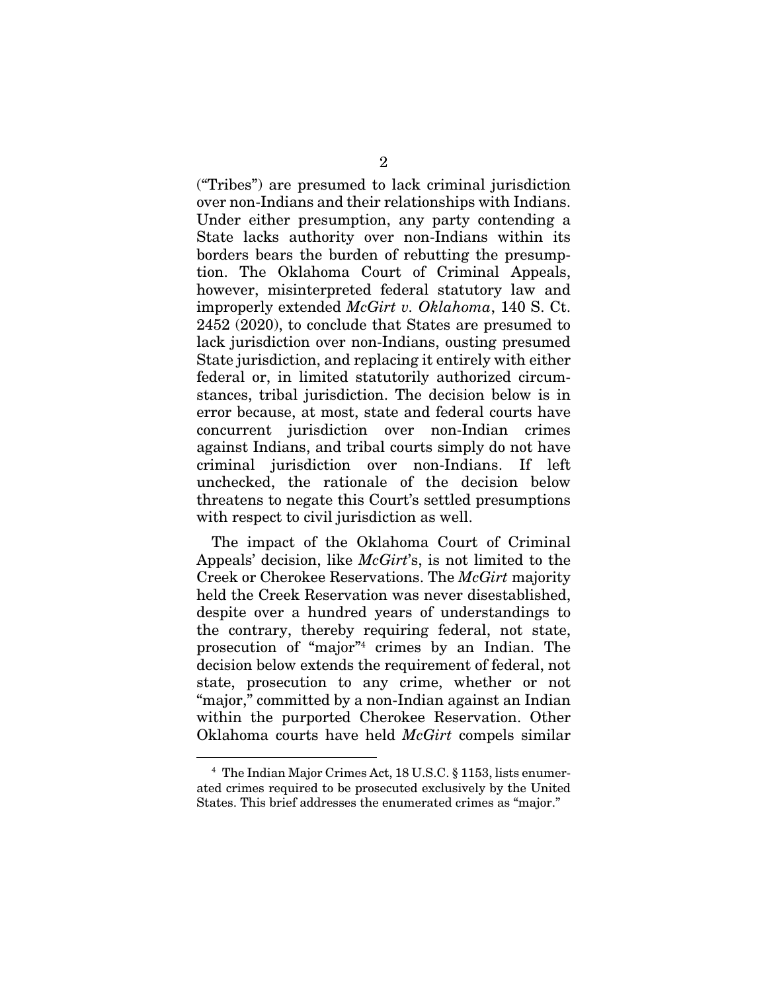("Tribes") are presumed to lack criminal jurisdiction over non-Indians and their relationships with Indians. Under either presumption, any party contending a State lacks authority over non-Indians within its borders bears the burden of rebutting the presumption. The Oklahoma Court of Criminal Appeals, however, misinterpreted federal statutory law and improperly extended *McGirt v. Oklahoma*, 140 S. Ct. 2452 (2020), to conclude that States are presumed to lack jurisdiction over non-Indians, ousting presumed State jurisdiction, and replacing it entirely with either federal or, in limited statutorily authorized circumstances, tribal jurisdiction. The decision below is in error because, at most, state and federal courts have concurrent jurisdiction over non-Indian crimes against Indians, and tribal courts simply do not have criminal jurisdiction over non-Indians. If left unchecked, the rationale of the decision below threatens to negate this Court's settled presumptions with respect to civil jurisdiction as well.

The impact of the Oklahoma Court of Criminal Appeals' decision, like *McGirt*'s, is not limited to the Creek or Cherokee Reservations. The *McGirt* majority held the Creek Reservation was never disestablished, despite over a hundred years of understandings to the contrary, thereby requiring federal, not state, prosecution of "major"4 crimes by an Indian. The decision below extends the requirement of federal, not state, prosecution to any crime, whether or not "major," committed by a non-Indian against an Indian within the purported Cherokee Reservation. Other Oklahoma courts have held *McGirt* compels similar

<sup>4</sup> The Indian Major Crimes Act, 18 U.S.C. § 1153, lists enumerated crimes required to be prosecuted exclusively by the United States. This brief addresses the enumerated crimes as "major."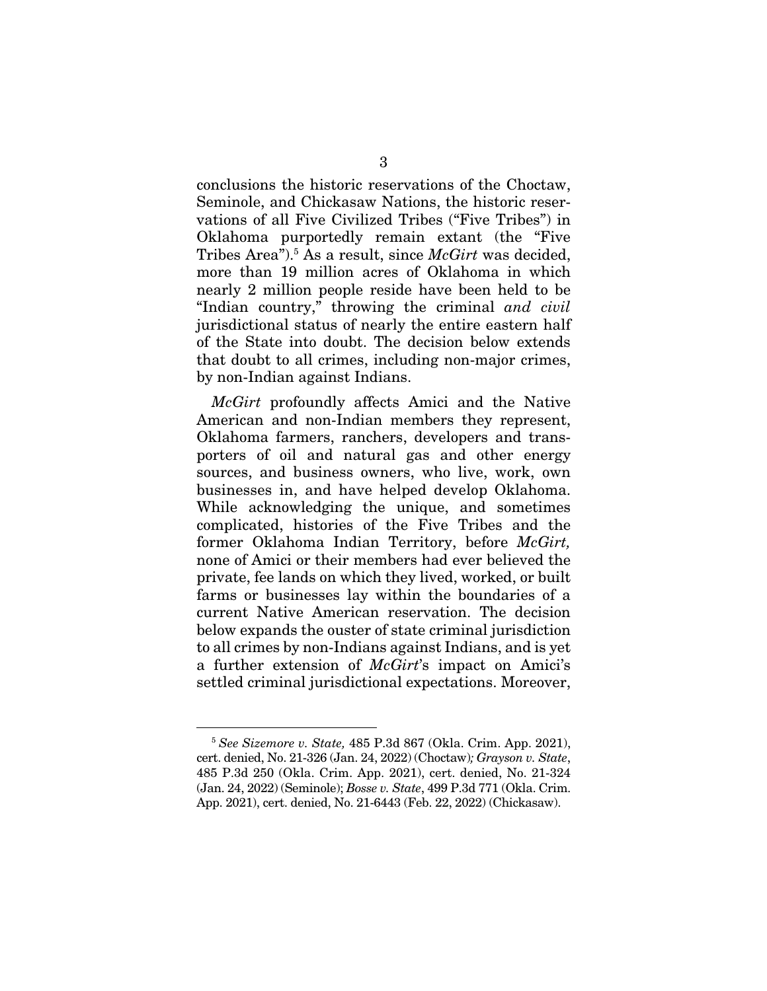conclusions the historic reservations of the Choctaw, Seminole, and Chickasaw Nations, the historic reservations of all Five Civilized Tribes ("Five Tribes") in Oklahoma purportedly remain extant (the "Five Tribes Area").<sup>5</sup> As a result, since *McGirt* was decided, more than 19 million acres of Oklahoma in which nearly 2 million people reside have been held to be "Indian country," throwing the criminal *and civil*  jurisdictional status of nearly the entire eastern half of the State into doubt. The decision below extends that doubt to all crimes, including non-major crimes, by non-Indian against Indians.

*McGirt* profoundly affects Amici and the Native American and non-Indian members they represent, Oklahoma farmers, ranchers, developers and transporters of oil and natural gas and other energy sources, and business owners, who live, work, own businesses in, and have helped develop Oklahoma. While acknowledging the unique, and sometimes complicated, histories of the Five Tribes and the former Oklahoma Indian Territory, before *McGirt,*  none of Amici or their members had ever believed the private, fee lands on which they lived, worked, or built farms or businesses lay within the boundaries of a current Native American reservation. The decision below expands the ouster of state criminal jurisdiction to all crimes by non-Indians against Indians, and is yet a further extension of *McGirt*'s impact on Amici's settled criminal jurisdictional expectations. Moreover,

<sup>5</sup> *See Sizemore v. State,* 485 P.3d 867 (Okla. Crim. App. 2021), cert. denied, No. 21-326 (Jan. 24, 2022) (Choctaw)*; Grayson v. State*, 485 P.3d 250 (Okla. Crim. App. 2021), cert. denied, No. 21-324 (Jan. 24, 2022) (Seminole); *Bosse v. State*, 499 P.3d 771 (Okla. Crim. App. 2021), cert. denied, No. 21-6443 (Feb. 22, 2022) (Chickasaw).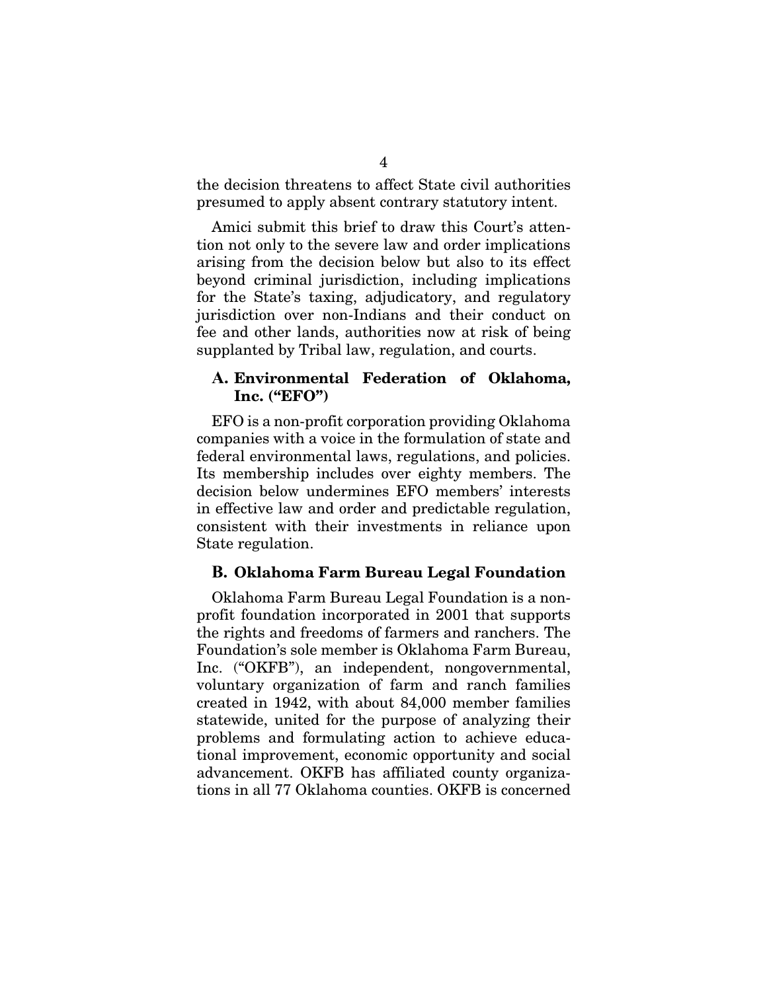the decision threatens to affect State civil authorities presumed to apply absent contrary statutory intent.

Amici submit this brief to draw this Court's attention not only to the severe law and order implications arising from the decision below but also to its effect beyond criminal jurisdiction, including implications for the State's taxing, adjudicatory, and regulatory jurisdiction over non-Indians and their conduct on fee and other lands, authorities now at risk of being supplanted by Tribal law, regulation, and courts.

#### **A.** Environmental Federation of Oklahoma, Inc. ("EFO")

EFO is a non-profit corporation providing Oklahoma companies with a voice in the formulation of state and federal environmental laws, regulations, and policies. Its membership includes over eighty members. The decision below undermines EFO members' interests in effective law and order and predictable regulation, consistent with their investments in reliance upon State regulation.

#### **B.** Oklahoma Farm Bureau Legal Foundation

Oklahoma Farm Bureau Legal Foundation is a nonprofit foundation incorporated in 2001 that supports the rights and freedoms of farmers and ranchers. The Foundation's sole member is Oklahoma Farm Bureau, Inc. ("OKFB"), an independent, nongovernmental, voluntary organization of farm and ranch families created in 1942, with about 84,000 member families statewide, united for the purpose of analyzing their problems and formulating action to achieve educational improvement, economic opportunity and social advancement. OKFB has affiliated county organizations in all 77 Oklahoma counties. OKFB is concerned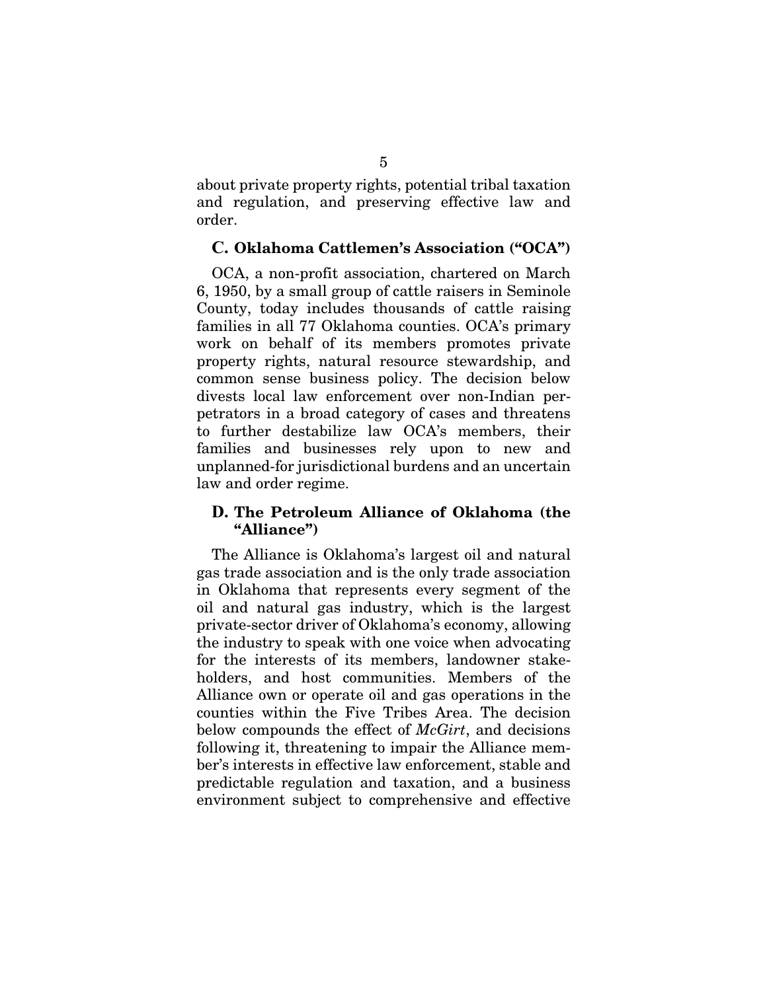about private property rights, potential tribal taxation and regulation, and preserving effective law and order.

#### **C.** Oklahoma Cattlemen's Association ("OCA")

OCA, a non-profit association, chartered on March 6, 1950, by a small group of cattle raisers in Seminole County, today includes thousands of cattle raising families in all 77 Oklahoma counties. OCA's primary work on behalf of its members promotes private property rights, natural resource stewardship, and common sense business policy. The decision below divests local law enforcement over non-Indian perpetrators in a broad category of cases and threatens to further destabilize law OCA's members, their families and businesses rely upon to new and unplanned-for jurisdictional burdens and an uncertain law and order regime.

#### **D.** The Petroleum Alliance of Oklahoma (the "Alliance")

The Alliance is Oklahoma's largest oil and natural gas trade association and is the only trade association in Oklahoma that represents every segment of the oil and natural gas industry, which is the largest private-sector driver of Oklahoma's economy, allowing the industry to speak with one voice when advocating for the interests of its members, landowner stakeholders, and host communities. Members of the Alliance own or operate oil and gas operations in the counties within the Five Tribes Area. The decision below compounds the effect of *McGirt*, and decisions following it, threatening to impair the Alliance member's interests in effective law enforcement, stable and predictable regulation and taxation, and a business environment subject to comprehensive and effective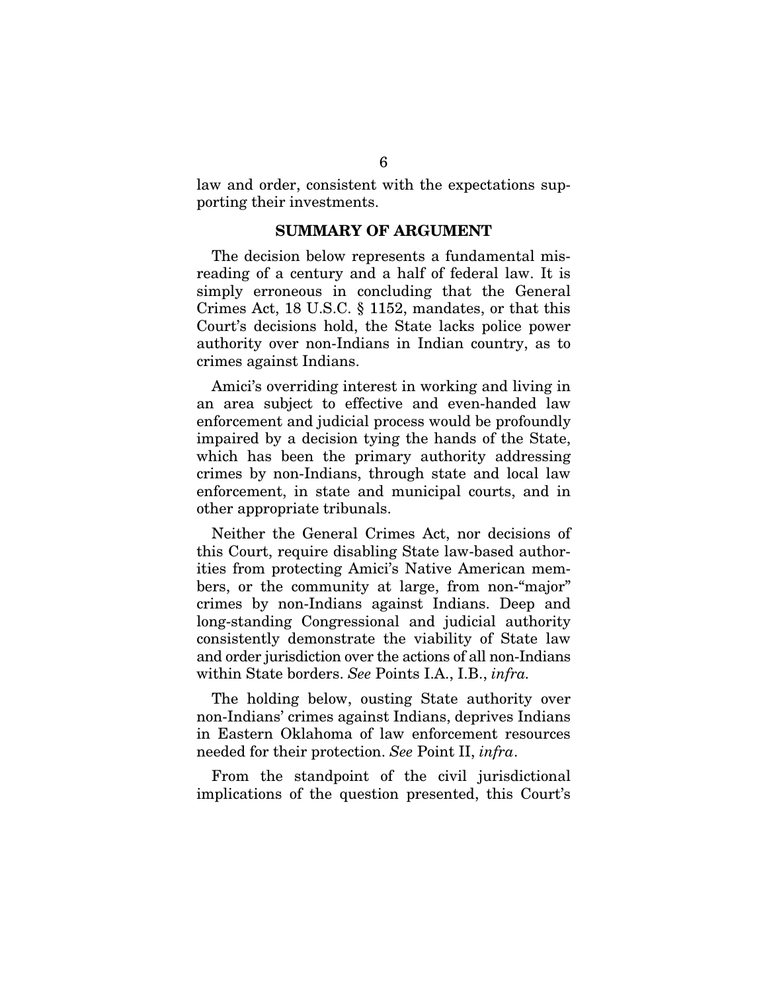law and order, consistent with the expectations supporting their investments.

#### SUMMARY OF ARGUMENT

The decision below represents a fundamental misreading of a century and a half of federal law. It is simply erroneous in concluding that the General Crimes Act, 18 U.S.C. § 1152, mandates, or that this Court's decisions hold, the State lacks police power authority over non-Indians in Indian country, as to crimes against Indians.

Amici's overriding interest in working and living in an area subject to effective and even-handed law enforcement and judicial process would be profoundly impaired by a decision tying the hands of the State, which has been the primary authority addressing crimes by non-Indians, through state and local law enforcement, in state and municipal courts, and in other appropriate tribunals.

Neither the General Crimes Act, nor decisions of this Court, require disabling State law-based authorities from protecting Amici's Native American members, or the community at large, from non-"major" crimes by non-Indians against Indians. Deep and long-standing Congressional and judicial authority consistently demonstrate the viability of State law and order jurisdiction over the actions of all non-Indians within State borders. *See* Points I.A., I.B., *infra.* 

The holding below, ousting State authority over non-Indians' crimes against Indians, deprives Indians in Eastern Oklahoma of law enforcement resources needed for their protection. *See* Point II, *infra*.

From the standpoint of the civil jurisdictional implications of the question presented, this Court's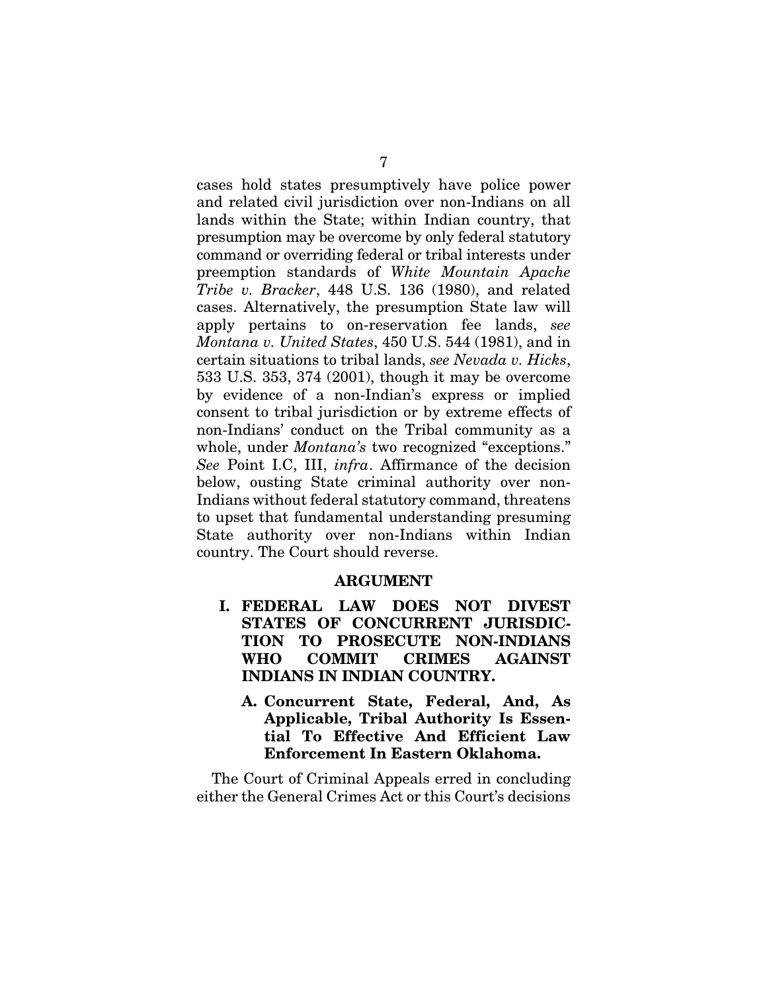cases hold states presumptively have police power and related civil jurisdiction over non-Indians on all lands within the State; within Indian country, that presumption may be overcome by only federal statutory command or overriding federal or tribal interests under preemption standards of *White Mountain Apache Tribe v. Bracker*, 448 U.S. 136 (1980), and related cases. Alternatively, the presumption State law will apply pertains to on-reservation fee lands, *see Montana v. United States*, 450 U.S. 544 (1981), and in certain situations to tribal lands, *see Nevada v. Hicks*, 533 U.S. 353, 374 (2001), though it may be overcome by evidence of a non-Indian's express or implied consent to tribal jurisdiction or by extreme effects of non-Indians' conduct on the Tribal community as a whole, under *Montana's* two recognized "exceptions." *See* Point I.C, III, *infra*. Affirmance of the decision below, ousting State criminal authority over non-Indians without federal statutory command, threatens to upset that fundamental understanding presuming State authority over non-Indians within Indian country. The Court should reverse.

#### ARGUMENT

- I. FEDERAL LAW DOES NOT DIVEST STATES OF CONCURRENT JURISDIC-TION TO PROSECUTE NON-INDIANS WHO COMMIT CRIMES AGAINST INDIANS IN INDIAN COUNTRY.
	- A. Concurrent State, Federal, And, As Applicable, Tribal Authority Is Essential To Effective And Efficient Law Enforcement In Eastern Oklahoma.

The Court of Criminal Appeals erred in concluding either the General Crimes Act or this Court's decisions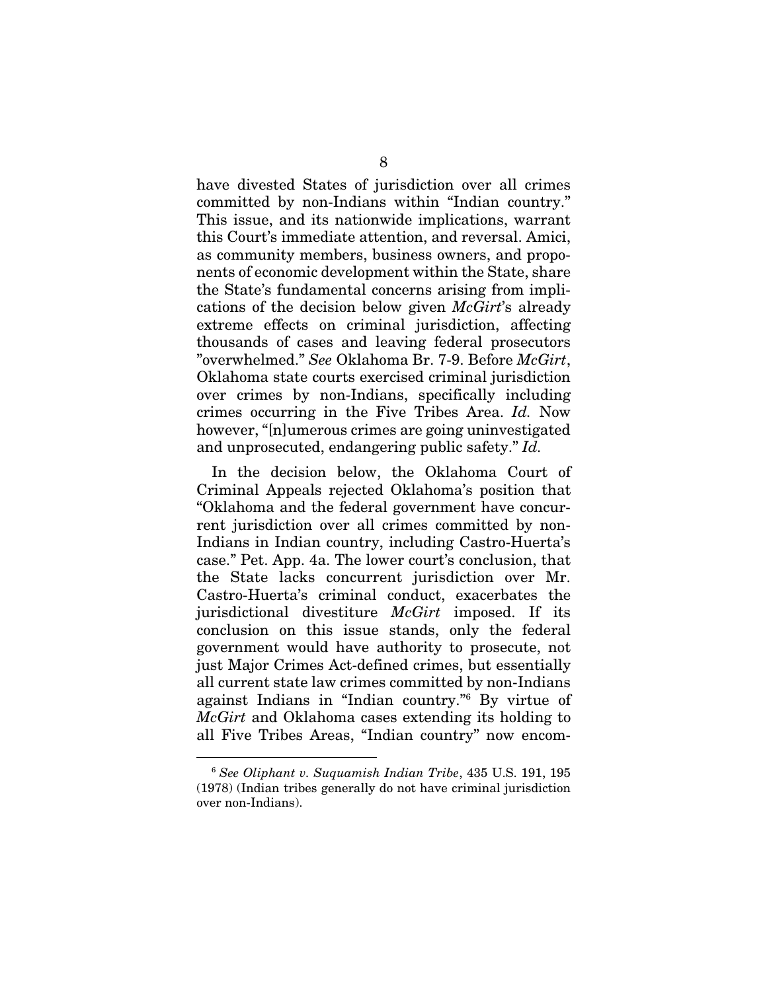have divested States of jurisdiction over all crimes committed by non-Indians within "Indian country." This issue, and its nationwide implications, warrant this Court's immediate attention, and reversal. Amici, as community members, business owners, and proponents of economic development within the State, share the State's fundamental concerns arising from implications of the decision below given *McGirt*'s already extreme effects on criminal jurisdiction, affecting thousands of cases and leaving federal prosecutors "overwhelmed." *See* Oklahoma Br. 7-9. Before *McGirt*, Oklahoma state courts exercised criminal jurisdiction over crimes by non-Indians, specifically including crimes occurring in the Five Tribes Area. *Id.* Now however, "[n]umerous crimes are going uninvestigated and unprosecuted, endangering public safety." *Id.*

In the decision below, the Oklahoma Court of Criminal Appeals rejected Oklahoma's position that "Oklahoma and the federal government have concurrent jurisdiction over all crimes committed by non-Indians in Indian country, including Castro-Huerta's case." Pet. App. 4a. The lower court's conclusion, that the State lacks concurrent jurisdiction over Mr. Castro-Huerta's criminal conduct, exacerbates the jurisdictional divestiture *McGirt* imposed. If its conclusion on this issue stands, only the federal government would have authority to prosecute, not just Major Crimes Act-defined crimes, but essentially all current state law crimes committed by non-Indians against Indians in "Indian country."6 By virtue of *McGirt* and Oklahoma cases extending its holding to all Five Tribes Areas, "Indian country" now encom-

<sup>6</sup> *See Oliphant v. Suquamish Indian Tribe*, 435 U.S. 191, 195 (1978) (Indian tribes generally do not have criminal jurisdiction over non-Indians).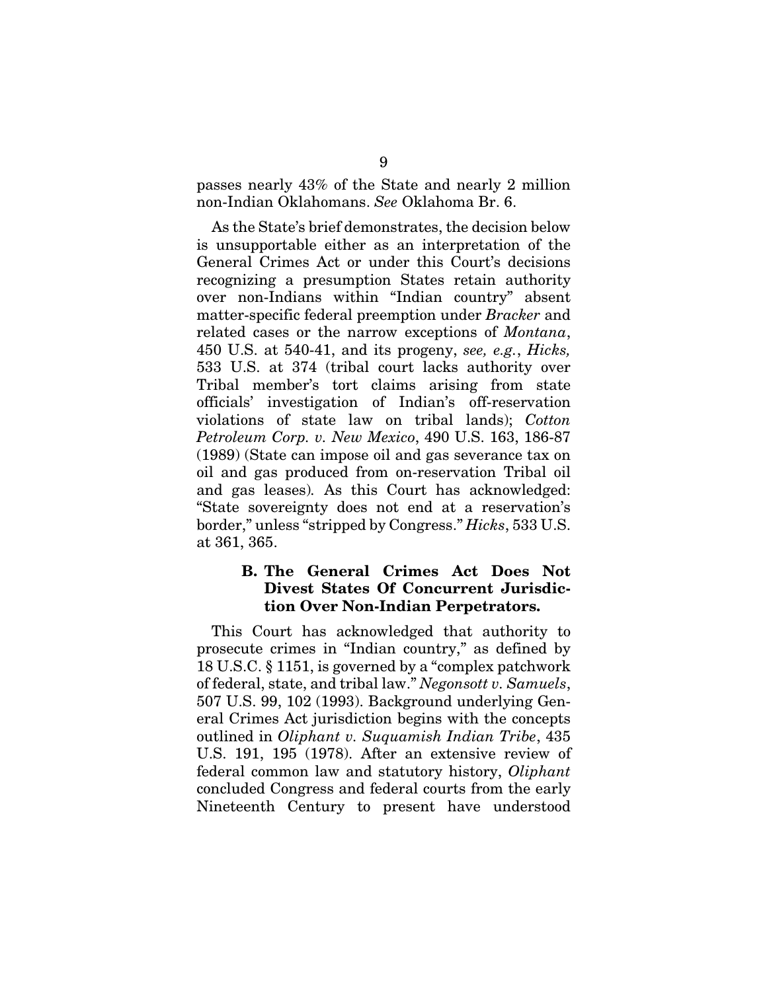passes nearly 43% of the State and nearly 2 million non-Indian Oklahomans. *See* Oklahoma Br. 6.

As the State's brief demonstrates, the decision below is unsupportable either as an interpretation of the General Crimes Act or under this Court's decisions recognizing a presumption States retain authority over non-Indians within "Indian country" absent matter-specific federal preemption under *Bracker* and related cases or the narrow exceptions of *Montana*, 450 U.S. at 540-41, and its progeny, *see, e.g.*, *Hicks,*  533 U.S. at 374 (tribal court lacks authority over Tribal member's tort claims arising from state officials' investigation of Indian's off-reservation violations of state law on tribal lands); *Cotton Petroleum Corp. v. New Mexico*, 490 U.S. 163, 186-87 (1989) (State can impose oil and gas severance tax on oil and gas produced from on-reservation Tribal oil and gas leases)*.* As this Court has acknowledged: "State sovereignty does not end at a reservation's border," unless "stripped by Congress." *Hicks*, 533 U.S. at 361, 365.

### B. The General Crimes Act Does Not Divest States Of Concurrent Jurisdiction Over Non-Indian Perpetrators.

This Court has acknowledged that authority to prosecute crimes in "Indian country," as defined by 18 U.S.C. § 1151, is governed by a "complex patchwork of federal, state, and tribal law." *Negonsott v. Samuels*, 507 U.S. 99, 102 (1993). Background underlying General Crimes Act jurisdiction begins with the concepts outlined in *Oliphant v. Suquamish Indian Tribe*, 435 U.S. 191, 195 (1978). After an extensive review of federal common law and statutory history, *Oliphant*  concluded Congress and federal courts from the early Nineteenth Century to present have understood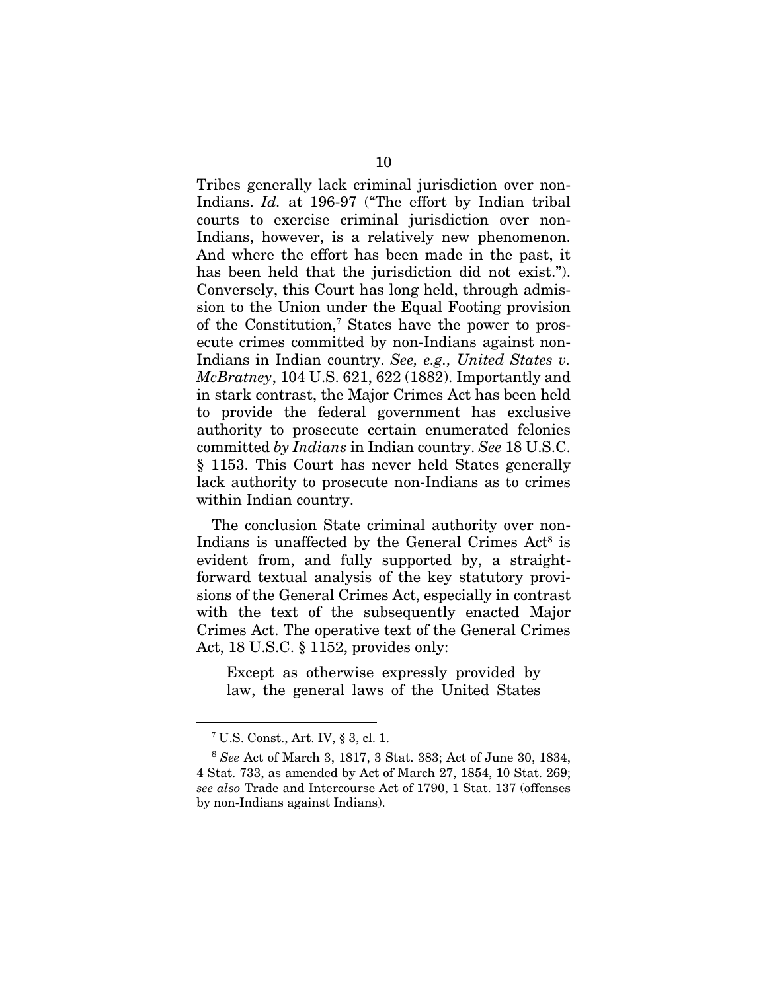Tribes generally lack criminal jurisdiction over non-Indians. *Id.* at 196-97 ("The effort by Indian tribal courts to exercise criminal jurisdiction over non-Indians, however, is a relatively new phenomenon. And where the effort has been made in the past, it has been held that the jurisdiction did not exist."). Conversely, this Court has long held, through admission to the Union under the Equal Footing provision of the Constitution,7 States have the power to prosecute crimes committed by non-Indians against non-Indians in Indian country. *See, e.g., United States v. McBratney*, 104 U.S. 621, 622 (1882). Importantly and in stark contrast, the Major Crimes Act has been held to provide the federal government has exclusive authority to prosecute certain enumerated felonies committed *by Indians* in Indian country. *See* 18 U.S.C. § 1153. This Court has never held States generally lack authority to prosecute non-Indians as to crimes within Indian country.

The conclusion State criminal authority over non-Indians is unaffected by the General Crimes Act<sup>8</sup> is evident from, and fully supported by, a straightforward textual analysis of the key statutory provisions of the General Crimes Act, especially in contrast with the text of the subsequently enacted Major Crimes Act. The operative text of the General Crimes Act, 18 U.S.C. § 1152, provides only:

Except as otherwise expressly provided by law, the general laws of the United States

<sup>7</sup> U.S. Const., Art. IV, § 3, cl. 1.

<sup>8</sup> *See* Act of March 3, 1817, 3 Stat. 383; Act of June 30, 1834, 4 Stat. 733, as amended by Act of March 27, 1854, 10 Stat. 269; *see also* Trade and Intercourse Act of 1790, 1 Stat. 137 (offenses by non-Indians against Indians).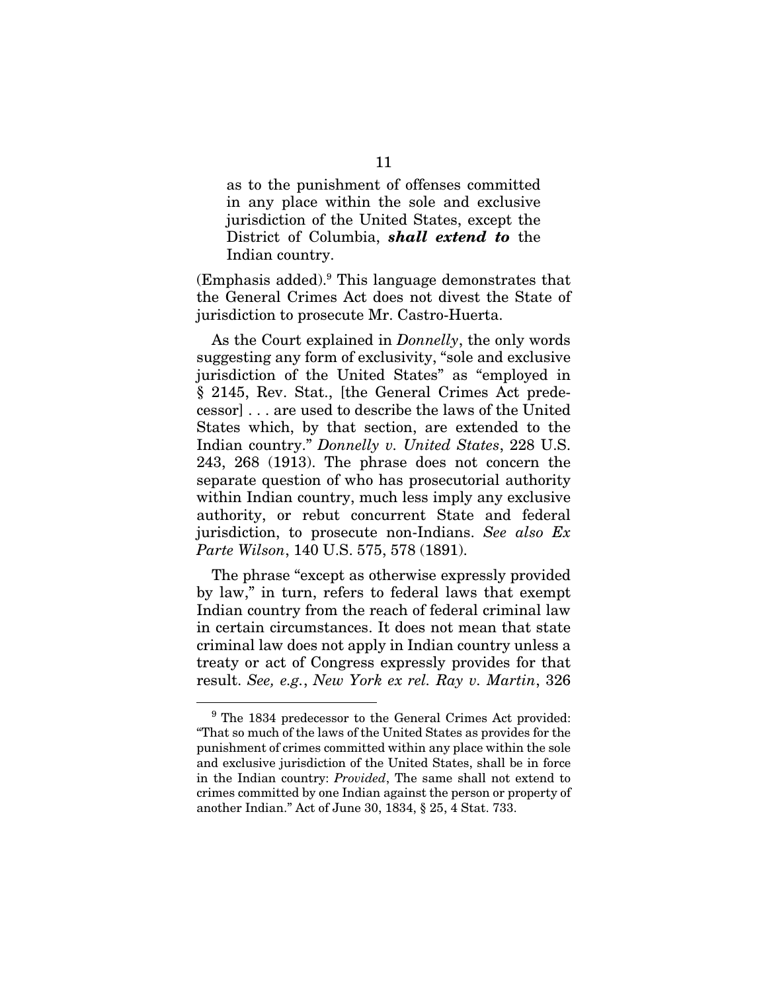as to the punishment of offenses committed in any place within the sole and exclusive jurisdiction of the United States, except the District of Columbia, *shall extend to* the Indian country.

(Emphasis added).9 This language demonstrates that the General Crimes Act does not divest the State of jurisdiction to prosecute Mr. Castro-Huerta.

As the Court explained in *Donnelly*, the only words suggesting any form of exclusivity, "sole and exclusive jurisdiction of the United States" as "employed in § 2145, Rev. Stat., [the General Crimes Act predecessor] . . . are used to describe the laws of the United States which, by that section, are extended to the Indian country." *Donnelly v. United States*, 228 U.S. 243, 268 (1913). The phrase does not concern the separate question of who has prosecutorial authority within Indian country, much less imply any exclusive authority, or rebut concurrent State and federal jurisdiction, to prosecute non-Indians. *See also Ex Parte Wilson*, 140 U.S. 575, 578 (1891).

The phrase "except as otherwise expressly provided by law," in turn, refers to federal laws that exempt Indian country from the reach of federal criminal law in certain circumstances. It does not mean that state criminal law does not apply in Indian country unless a treaty or act of Congress expressly provides for that result. *See, e.g.*, *New York ex rel. Ray v. Martin*, 326

<sup>&</sup>lt;sup>9</sup> The 1834 predecessor to the General Crimes Act provided: "That so much of the laws of the United States as provides for the punishment of crimes committed within any place within the sole and exclusive jurisdiction of the United States, shall be in force in the Indian country: *Provided*, The same shall not extend to crimes committed by one Indian against the person or property of another Indian." Act of June 30, 1834, § 25, 4 Stat. 733.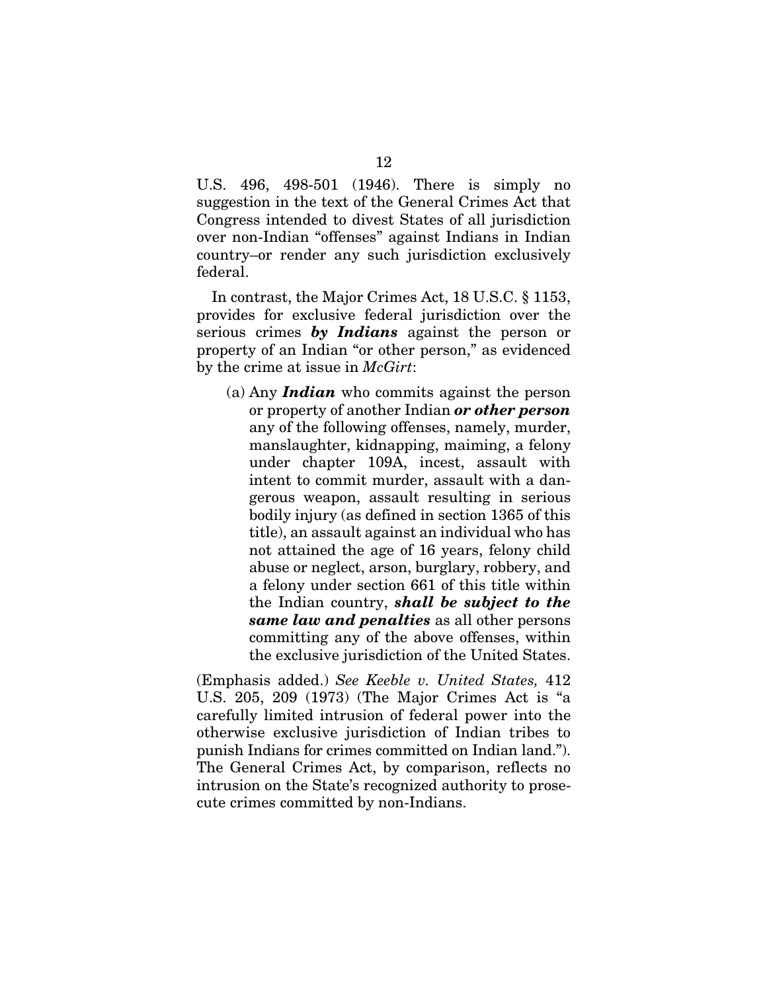U.S. 496, 498-501 (1946). There is simply no suggestion in the text of the General Crimes Act that Congress intended to divest States of all jurisdiction over non-Indian "offenses" against Indians in Indian country–or render any such jurisdiction exclusively federal.

In contrast, the Major Crimes Act, 18 U.S.C. § 1153, provides for exclusive federal jurisdiction over the serious crimes *by Indians* against the person or property of an Indian "or other person," as evidenced by the crime at issue in *McGirt*:

(a) Any *Indian* who commits against the person or property of another Indian *or other person* any of the following offenses, namely, murder, manslaughter, kidnapping, maiming, a felony under chapter 109A, incest, assault with intent to commit murder, assault with a dangerous weapon, assault resulting in serious bodily injury (as defined in section 1365 of this title), an assault against an individual who has not attained the age of 16 years, felony child abuse or neglect, arson, burglary, robbery, and a felony under section 661 of this title within the Indian country, *shall be subject to the same law and penalties* as all other persons committing any of the above offenses, within the exclusive jurisdiction of the United States.

(Emphasis added.) *See Keeble v. United States,* 412 U.S. 205, 209 (1973) (The Major Crimes Act is "a carefully limited intrusion of federal power into the otherwise exclusive jurisdiction of Indian tribes to punish Indians for crimes committed on Indian land."). The General Crimes Act, by comparison, reflects no intrusion on the State's recognized authority to prosecute crimes committed by non-Indians.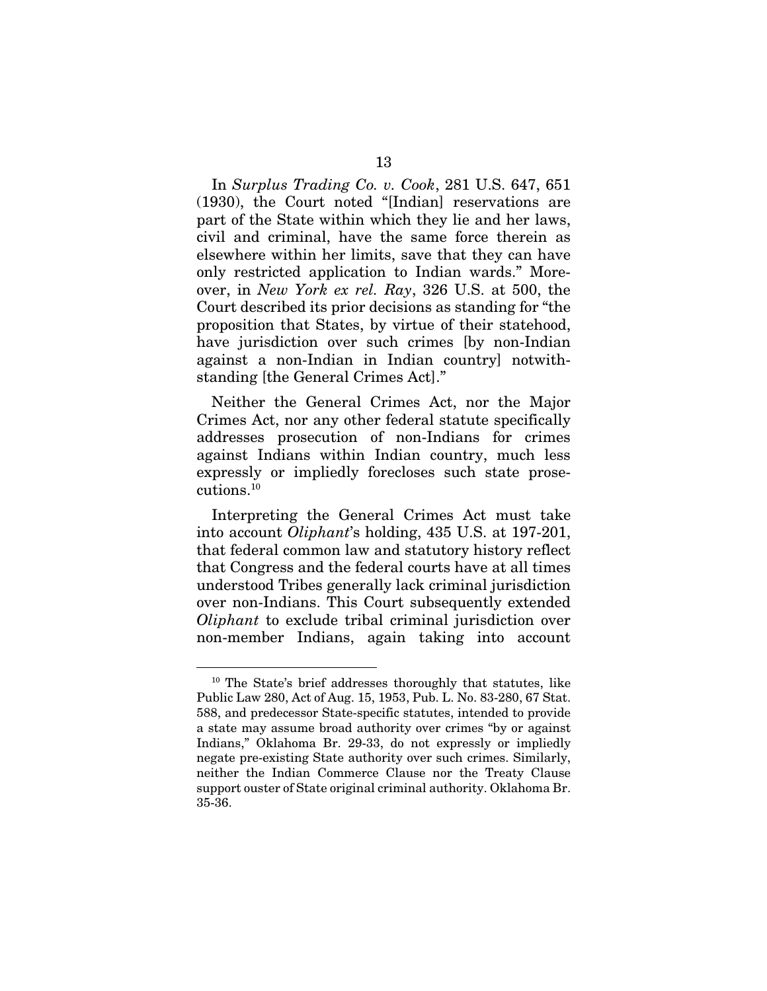In *Surplus Trading Co. v. Cook*, 281 U.S. 647, 651 (1930), the Court noted "[Indian] reservations are part of the State within which they lie and her laws, civil and criminal, have the same force therein as elsewhere within her limits, save that they can have only restricted application to Indian wards." Moreover, in *New York ex rel. Ray*, 326 U.S. at 500, the Court described its prior decisions as standing for "the proposition that States, by virtue of their statehood, have jurisdiction over such crimes [by non-Indian against a non-Indian in Indian country] notwithstanding [the General Crimes Act]."

Neither the General Crimes Act, nor the Major Crimes Act, nor any other federal statute specifically addresses prosecution of non-Indians for crimes against Indians within Indian country, much less expressly or impliedly forecloses such state prosecutions.10

Interpreting the General Crimes Act must take into account *Oliphant*'s holding, 435 U.S. at 197-201, that federal common law and statutory history reflect that Congress and the federal courts have at all times understood Tribes generally lack criminal jurisdiction over non-Indians. This Court subsequently extended *Oliphant* to exclude tribal criminal jurisdiction over non-member Indians, again taking into account

<sup>10</sup> The State's brief addresses thoroughly that statutes, like Public Law 280, Act of Aug. 15, 1953, Pub. L. No. 83-280, 67 Stat. 588, and predecessor State-specific statutes, intended to provide a state may assume broad authority over crimes "by or against Indians," Oklahoma Br. 29-33, do not expressly or impliedly negate pre-existing State authority over such crimes. Similarly, neither the Indian Commerce Clause nor the Treaty Clause support ouster of State original criminal authority. Oklahoma Br. 35-36.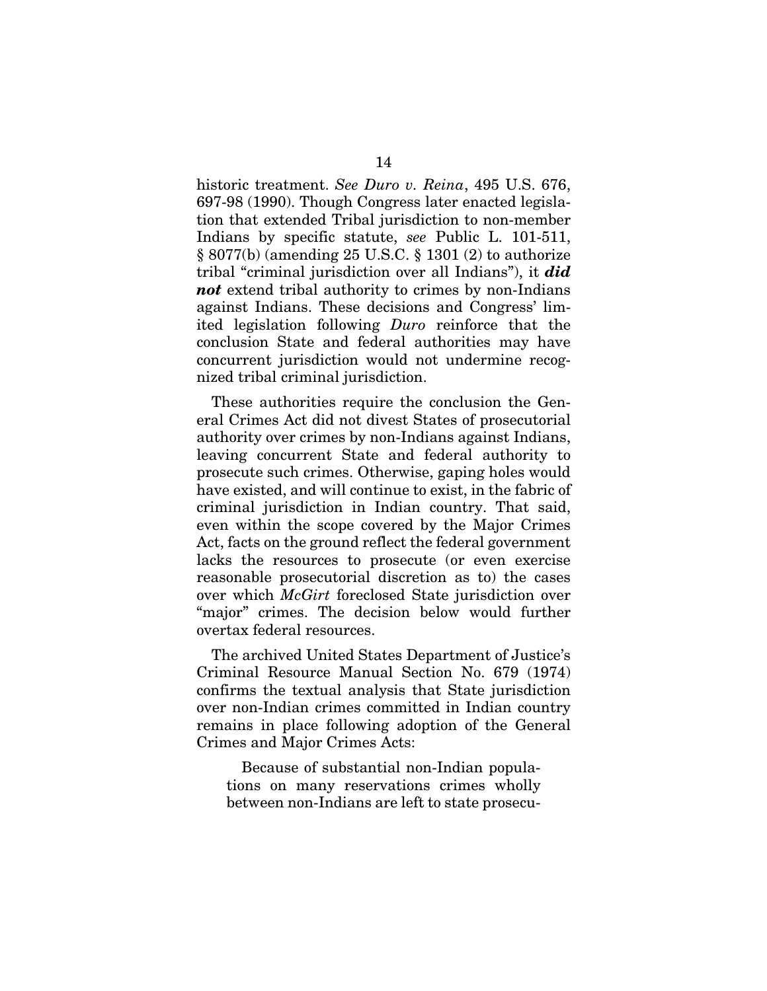historic treatment. *See Duro v. Reina*, 495 U.S. 676, 697-98 (1990). Though Congress later enacted legislation that extended Tribal jurisdiction to non-member Indians by specific statute, *see* Public L. 101-511, § 8077(b) (amending 25 U.S.C. § 1301 (2) to authorize tribal "criminal jurisdiction over all Indians"), it *did not* extend tribal authority to crimes by non-Indians against Indians. These decisions and Congress' limited legislation following *Duro* reinforce that the conclusion State and federal authorities may have concurrent jurisdiction would not undermine recognized tribal criminal jurisdiction.

These authorities require the conclusion the General Crimes Act did not divest States of prosecutorial authority over crimes by non-Indians against Indians, leaving concurrent State and federal authority to prosecute such crimes. Otherwise, gaping holes would have existed, and will continue to exist, in the fabric of criminal jurisdiction in Indian country. That said, even within the scope covered by the Major Crimes Act, facts on the ground reflect the federal government lacks the resources to prosecute (or even exercise reasonable prosecutorial discretion as to) the cases over which *McGirt* foreclosed State jurisdiction over "major" crimes. The decision below would further overtax federal resources.

The archived United States Department of Justice's Criminal Resource Manual Section No. 679 (1974) confirms the textual analysis that State jurisdiction over non-Indian crimes committed in Indian country remains in place following adoption of the General Crimes and Major Crimes Acts:

Because of substantial non-Indian populations on many reservations crimes wholly between non-Indians are left to state prosecu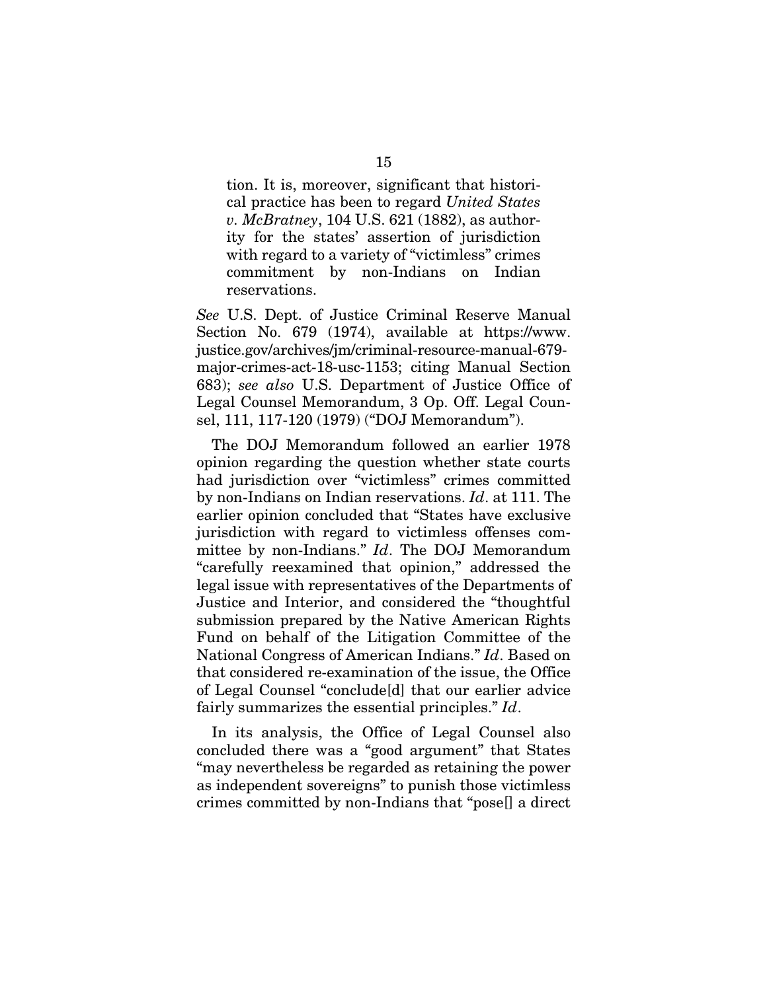tion. It is, moreover, significant that historical practice has been to regard *United States v. McBratney*, 104 U.S. 621 (1882), as authority for the states' assertion of jurisdiction with regard to a variety of "victimless" crimes commitment by non-Indians on Indian reservations.

*See* U.S. Dept. of Justice Criminal Reserve Manual Section No. 679 (1974), available at https://www. justice.gov/archives/jm/criminal-resource-manual-679 major-crimes-act-18-usc-1153; citing Manual Section 683); *see also* U.S. Department of Justice Office of Legal Counsel Memorandum, 3 Op. Off. Legal Counsel, 111, 117-120 (1979) ("DOJ Memorandum").

The DOJ Memorandum followed an earlier 1978 opinion regarding the question whether state courts had jurisdiction over "victimless" crimes committed by non-Indians on Indian reservations. *Id*. at 111. The earlier opinion concluded that "States have exclusive jurisdiction with regard to victimless offenses committee by non-Indians." *Id*. The DOJ Memorandum "carefully reexamined that opinion," addressed the legal issue with representatives of the Departments of Justice and Interior, and considered the "thoughtful submission prepared by the Native American Rights Fund on behalf of the Litigation Committee of the National Congress of American Indians." *Id*. Based on that considered re-examination of the issue, the Office of Legal Counsel "conclude[d] that our earlier advice fairly summarizes the essential principles." *Id*.

In its analysis, the Office of Legal Counsel also concluded there was a "good argument" that States "may nevertheless be regarded as retaining the power as independent sovereigns" to punish those victimless crimes committed by non-Indians that "pose[] a direct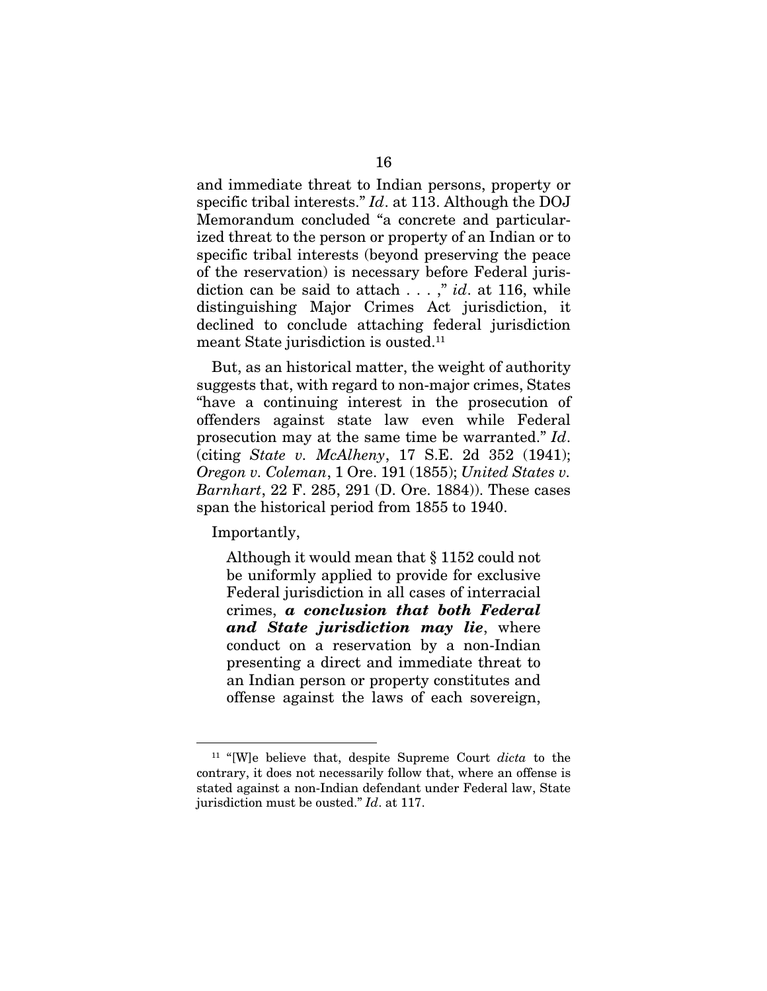and immediate threat to Indian persons, property or specific tribal interests." *Id*. at 113. Although the DOJ Memorandum concluded "a concrete and particularized threat to the person or property of an Indian or to specific tribal interests (beyond preserving the peace of the reservation) is necessary before Federal jurisdiction can be said to attach . . . ," *id*. at 116, while distinguishing Major Crimes Act jurisdiction, it declined to conclude attaching federal jurisdiction meant State jurisdiction is ousted.<sup>11</sup>

But, as an historical matter, the weight of authority suggests that, with regard to non-major crimes, States "have a continuing interest in the prosecution of offenders against state law even while Federal prosecution may at the same time be warranted." *Id*. (citing *State v. McAlheny*, 17 S.E. 2d 352 (1941); *Oregon v. Coleman*, 1 Ore. 191 (1855); *United States v. Barnhart*, 22 F. 285, 291 (D. Ore. 1884)). These cases span the historical period from 1855 to 1940.

Importantly,

Although it would mean that § 1152 could not be uniformly applied to provide for exclusive Federal jurisdiction in all cases of interracial crimes, *a conclusion that both Federal and State jurisdiction may lie*, where conduct on a reservation by a non-Indian presenting a direct and immediate threat to an Indian person or property constitutes and offense against the laws of each sovereign,

<sup>11</sup> "[W]e believe that, despite Supreme Court *dicta* to the contrary, it does not necessarily follow that, where an offense is stated against a non-Indian defendant under Federal law, State jurisdiction must be ousted." *Id*. at 117.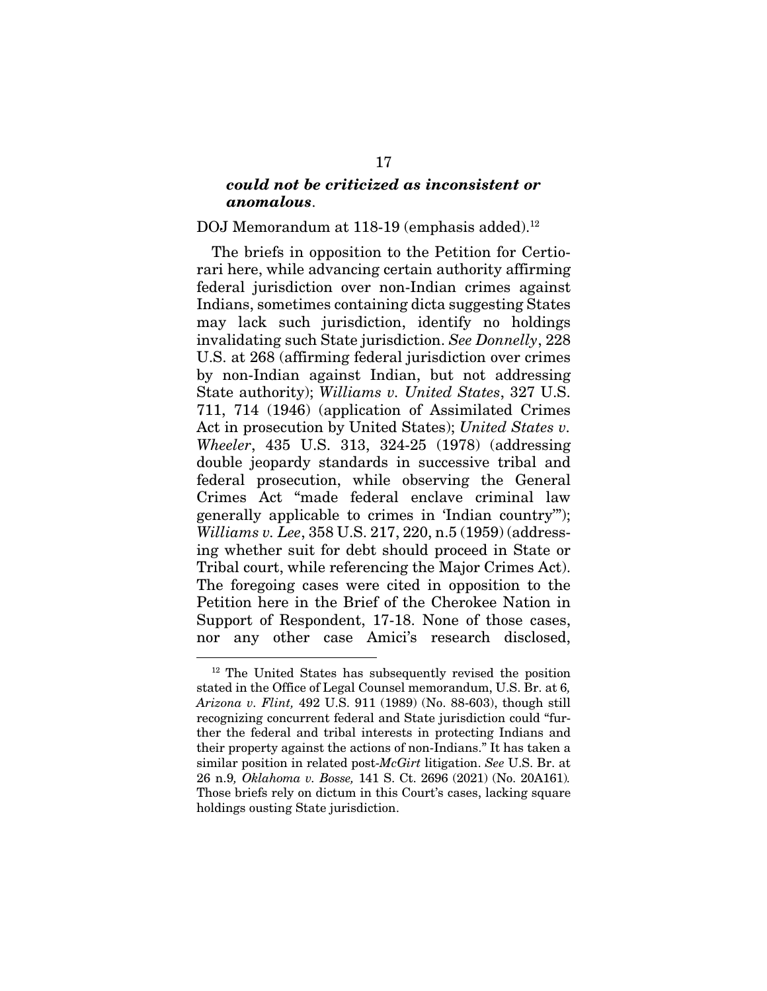### *could not be criticized as inconsistent or anomalous*.

#### DOJ Memorandum at 118-19 (emphasis added).<sup>12</sup>

The briefs in opposition to the Petition for Certiorari here, while advancing certain authority affirming federal jurisdiction over non-Indian crimes against Indians, sometimes containing dicta suggesting States may lack such jurisdiction, identify no holdings invalidating such State jurisdiction. *See Donnelly*, 228 U.S. at 268 (affirming federal jurisdiction over crimes by non-Indian against Indian, but not addressing State authority); *Williams v. United States*, 327 U.S. 711, 714 (1946) (application of Assimilated Crimes Act in prosecution by United States); *United States v. Wheeler*, 435 U.S. 313, 324-25 (1978) (addressing double jeopardy standards in successive tribal and federal prosecution, while observing the General Crimes Act "made federal enclave criminal law generally applicable to crimes in 'Indian country'"); *Williams v. Lee*, 358 U.S. 217, 220, n.5 (1959) (addressing whether suit for debt should proceed in State or Tribal court, while referencing the Major Crimes Act). The foregoing cases were cited in opposition to the Petition here in the Brief of the Cherokee Nation in Support of Respondent, 17-18. None of those cases, nor any other case Amici's research disclosed,

<sup>12</sup> The United States has subsequently revised the position stated in the Office of Legal Counsel memorandum, U.S. Br. at 6*, Arizona v. Flint,* 492 U.S. 911 (1989) (No. 88-603), though still recognizing concurrent federal and State jurisdiction could "further the federal and tribal interests in protecting Indians and their property against the actions of non-Indians." It has taken a similar position in related post-*McGirt* litigation. *See* U.S. Br. at 26 n.9*, Oklahoma v. Bosse,* 141 S. Ct. 2696 (2021) (No. 20A161)*.*  Those briefs rely on dictum in this Court's cases, lacking square holdings ousting State jurisdiction.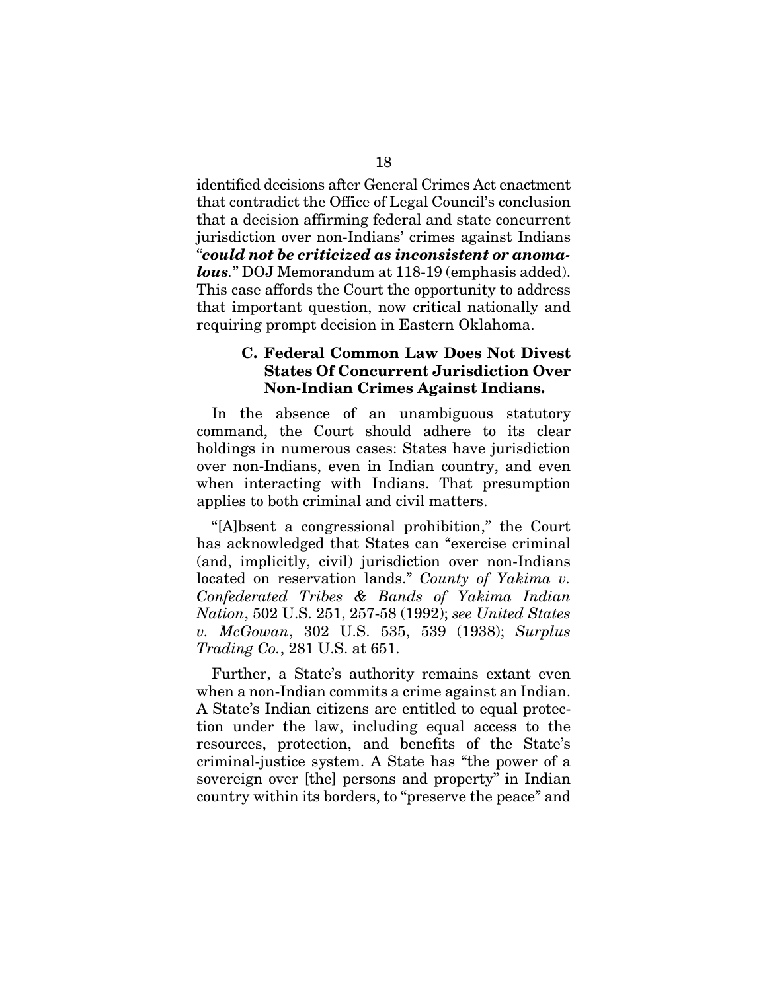identified decisions after General Crimes Act enactment that contradict the Office of Legal Council's conclusion that a decision affirming federal and state concurrent jurisdiction over non-Indians' crimes against Indians "*could not be criticized as inconsistent or anomalous.*" DOJ Memorandum at 118-19 (emphasis added). This case affords the Court the opportunity to address that important question, now critical nationally and requiring prompt decision in Eastern Oklahoma.

### C. Federal Common Law Does Not Divest States Of Concurrent Jurisdiction Over Non-Indian Crimes Against Indians.

In the absence of an unambiguous statutory command, the Court should adhere to its clear holdings in numerous cases: States have jurisdiction over non-Indians, even in Indian country, and even when interacting with Indians. That presumption applies to both criminal and civil matters.

"[A]bsent a congressional prohibition," the Court has acknowledged that States can "exercise criminal (and, implicitly, civil) jurisdiction over non-Indians located on reservation lands." *County of Yakima v. Confederated Tribes & Bands of Yakima Indian Nation*, 502 U.S. 251, 257-58 (1992); *see United States v. McGowan*, 302 U.S. 535, 539 (1938); *Surplus Trading Co.*, 281 U.S. at 651.

Further, a State's authority remains extant even when a non-Indian commits a crime against an Indian. A State's Indian citizens are entitled to equal protection under the law, including equal access to the resources, protection, and benefits of the State's criminal-justice system. A State has "the power of a sovereign over [the] persons and property" in Indian country within its borders, to "preserve the peace" and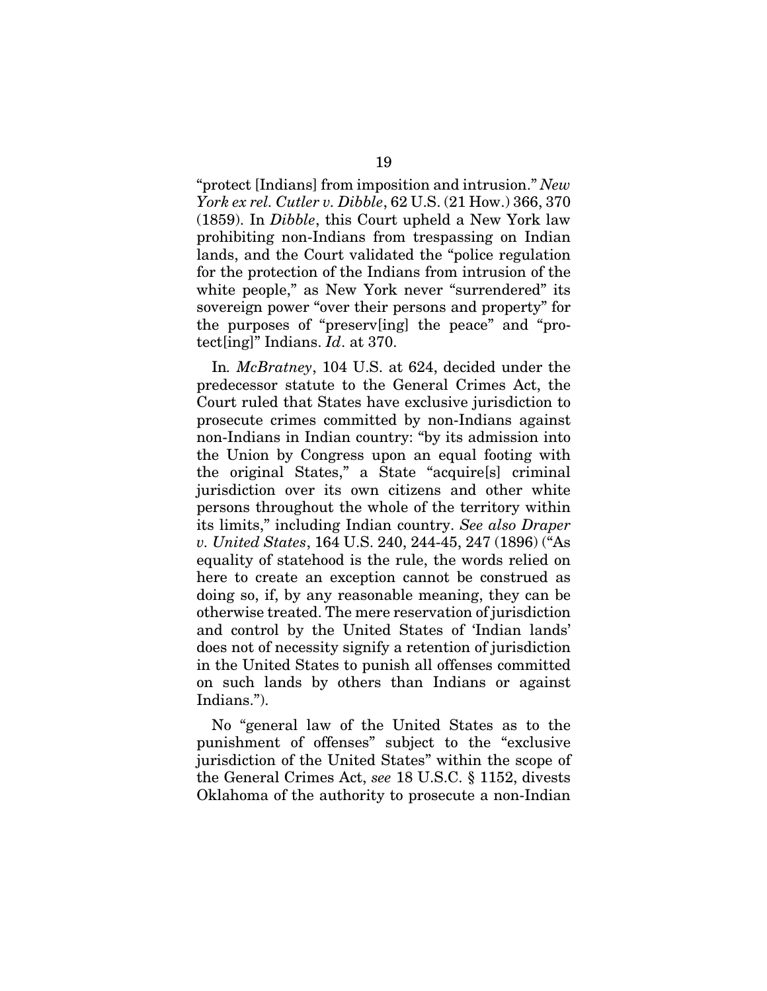"protect [Indians] from imposition and intrusion." *New York ex rel. Cutler v. Dibble*, 62 U.S. (21 How.) 366, 370 (1859). In *Dibble*, this Court upheld a New York law prohibiting non-Indians from trespassing on Indian lands, and the Court validated the "police regulation for the protection of the Indians from intrusion of the white people," as New York never "surrendered" its sovereign power "over their persons and property" for the purposes of "preserv[ing] the peace" and "protect[ing]" Indians. *Id*. at 370.

In*. McBratney*, 104 U.S. at 624, decided under the predecessor statute to the General Crimes Act, the Court ruled that States have exclusive jurisdiction to prosecute crimes committed by non-Indians against non-Indians in Indian country: "by its admission into the Union by Congress upon an equal footing with the original States," a State "acquire[s] criminal jurisdiction over its own citizens and other white persons throughout the whole of the territory within its limits," including Indian country. *See also Draper v. United States*, 164 U.S. 240, 244-45, 247 (1896) ("As equality of statehood is the rule, the words relied on here to create an exception cannot be construed as doing so, if, by any reasonable meaning, they can be otherwise treated. The mere reservation of jurisdiction and control by the United States of 'Indian lands' does not of necessity signify a retention of jurisdiction in the United States to punish all offenses committed on such lands by others than Indians or against Indians.").

No "general law of the United States as to the punishment of offenses" subject to the "exclusive jurisdiction of the United States" within the scope of the General Crimes Act, *see* 18 U.S.C. § 1152, divests Oklahoma of the authority to prosecute a non-Indian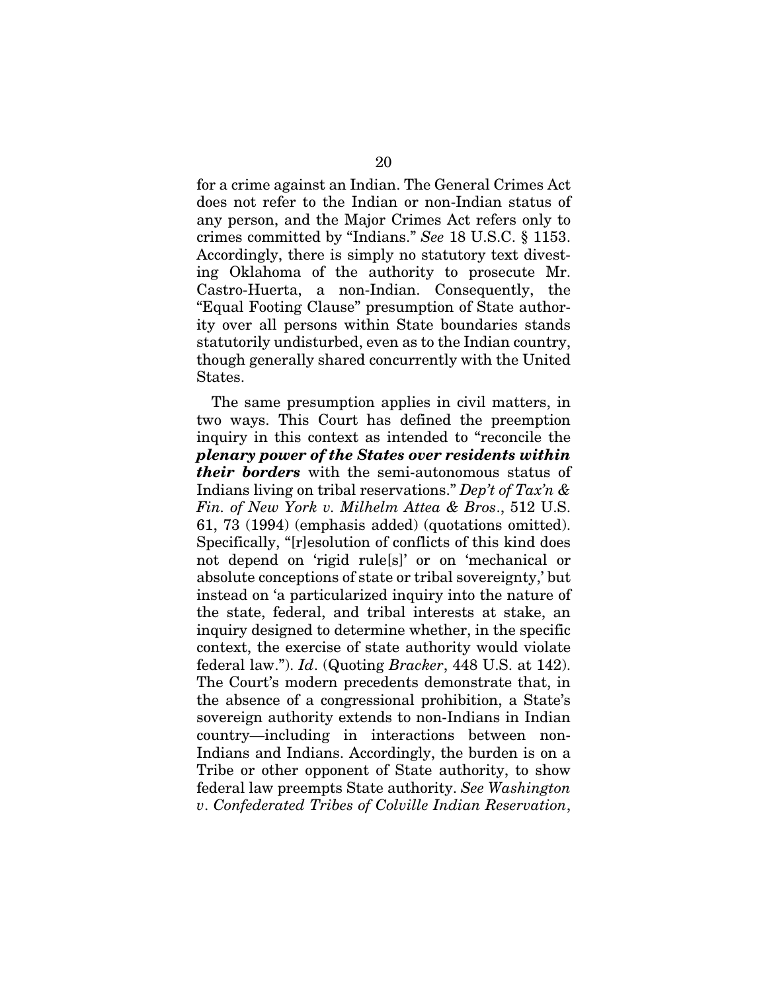for a crime against an Indian. The General Crimes Act does not refer to the Indian or non-Indian status of any person, and the Major Crimes Act refers only to crimes committed by "Indians." *See* 18 U.S.C. § 1153. Accordingly, there is simply no statutory text divesting Oklahoma of the authority to prosecute Mr. Castro-Huerta, a non-Indian. Consequently, the "Equal Footing Clause" presumption of State authority over all persons within State boundaries stands statutorily undisturbed, even as to the Indian country, though generally shared concurrently with the United States.

The same presumption applies in civil matters, in two ways. This Court has defined the preemption inquiry in this context as intended to "reconcile the *plenary power of the States over residents within their borders* with the semi-autonomous status of Indians living on tribal reservations." *Dep't of Tax'n & Fin. of New York v. Milhelm Attea & Bros*., 512 U.S. 61, 73 (1994) (emphasis added) (quotations omitted). Specifically, "[r]esolution of conflicts of this kind does not depend on 'rigid rule[s]' or on 'mechanical or absolute conceptions of state or tribal sovereignty,' but instead on 'a particularized inquiry into the nature of the state, federal, and tribal interests at stake, an inquiry designed to determine whether, in the specific context, the exercise of state authority would violate federal law."). *Id*. (Quoting *Bracker*, 448 U.S. at 142). The Court's modern precedents demonstrate that, in the absence of a congressional prohibition, a State's sovereign authority extends to non-Indians in Indian country—including in interactions between non-Indians and Indians. Accordingly, the burden is on a Tribe or other opponent of State authority, to show federal law preempts State authority. *See Washington v*. *Confederated Tribes of Colville Indian Reservation*,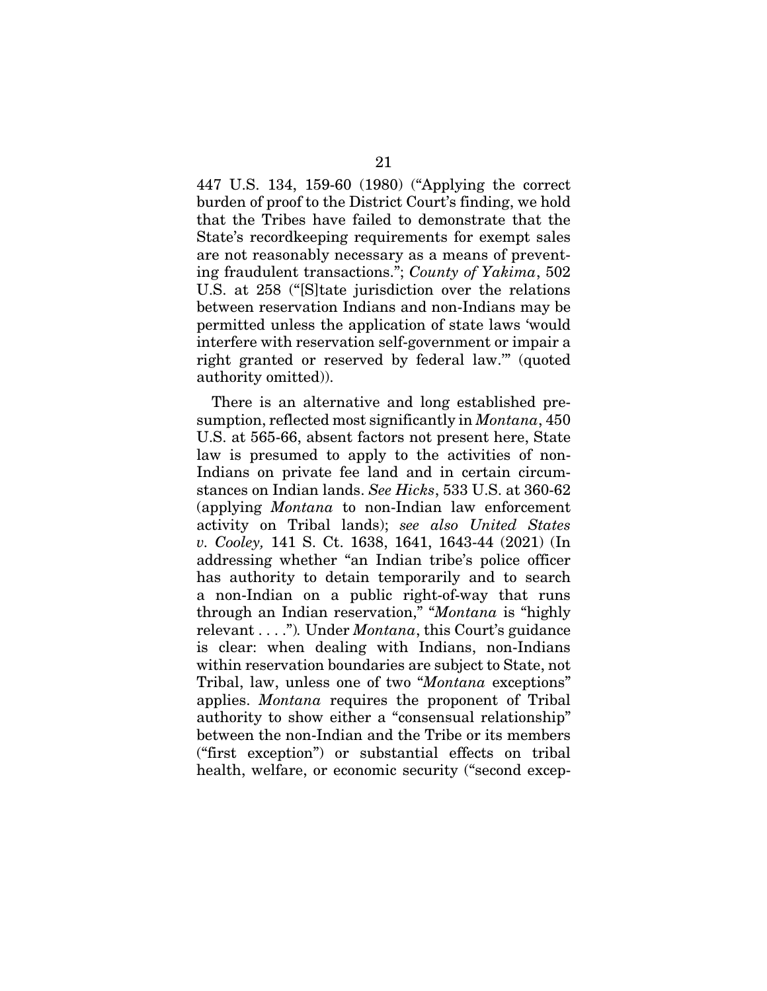447 U.S. 134, 159-60 (1980) ("Applying the correct burden of proof to the District Court's finding, we hold that the Tribes have failed to demonstrate that the State's recordkeeping requirements for exempt sales are not reasonably necessary as a means of preventing fraudulent transactions."; *County of Yakima*, 502 U.S. at 258 ("[S]tate jurisdiction over the relations between reservation Indians and non-Indians may be permitted unless the application of state laws 'would interfere with reservation self-government or impair a right granted or reserved by federal law.'" (quoted authority omitted)).

There is an alternative and long established presumption, reflected most significantly in *Montana*, 450 U.S. at 565-66, absent factors not present here, State law is presumed to apply to the activities of non-Indians on private fee land and in certain circumstances on Indian lands. *See Hicks*, 533 U.S. at 360-62 (applying *Montana* to non-Indian law enforcement activity on Tribal lands); *see also United States v. Cooley,* 141 S. Ct. 1638, 1641, 1643-44 (2021) (In addressing whether "an Indian tribe's police officer has authority to detain temporarily and to search a non-Indian on a public right-of-way that runs through an Indian reservation," "*Montana* is "highly relevant . . . .")*.* Under *Montana*, this Court's guidance is clear: when dealing with Indians, non-Indians within reservation boundaries are subject to State, not Tribal, law, unless one of two "*Montana* exceptions" applies. *Montana* requires the proponent of Tribal authority to show either a "consensual relationship" between the non-Indian and the Tribe or its members ("first exception") or substantial effects on tribal health, welfare, or economic security ("second excep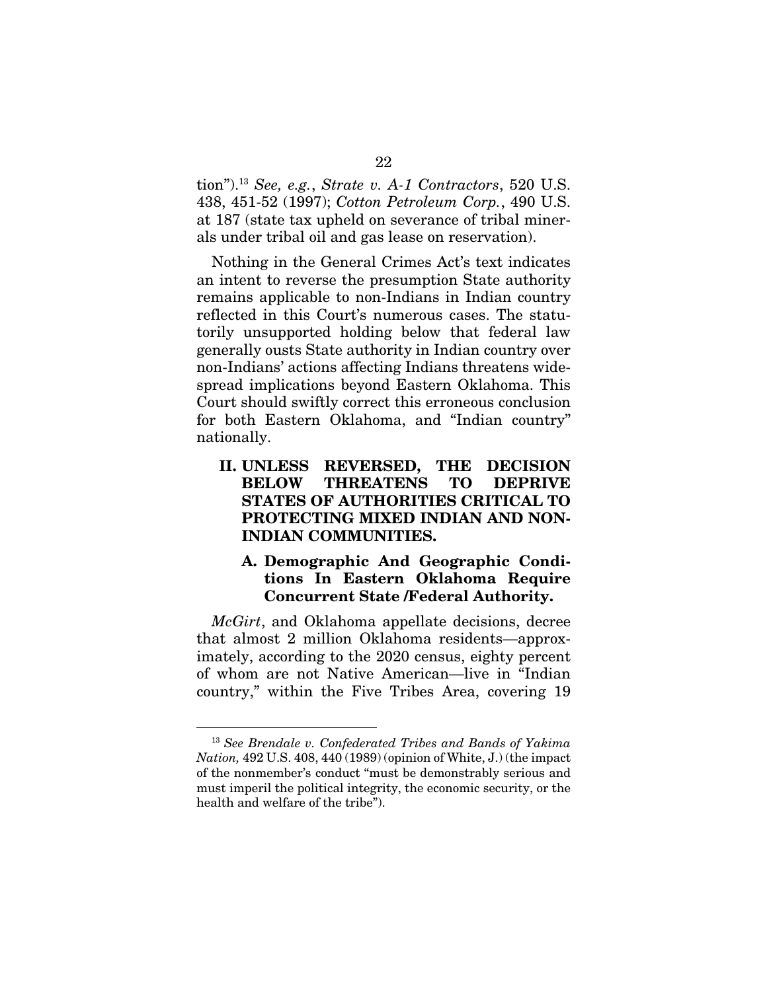tion").13 *See, e.g.*, *Strate v. A-1 Contractors*, 520 U.S. 438, 451-52 (1997); *Cotton Petroleum Corp.*, 490 U.S. at 187 (state tax upheld on severance of tribal minerals under tribal oil and gas lease on reservation).

Nothing in the General Crimes Act's text indicates an intent to reverse the presumption State authority remains applicable to non-Indians in Indian country reflected in this Court's numerous cases. The statutorily unsupported holding below that federal law generally ousts State authority in Indian country over non-Indians' actions affecting Indians threatens widespread implications beyond Eastern Oklahoma. This Court should swiftly correct this erroneous conclusion for both Eastern Oklahoma, and "Indian country" nationally.

### II. UNLESS REVERSED, THE DECISION BELOW THREATENS TO DEPRIVE STATES OF AUTHORITIES CRITICAL TO PROTECTING MIXED INDIAN AND NON-INDIAN COMMUNITIES.

### A. Demographic And Geographic Conditions In Eastern Oklahoma Require Concurrent State /Federal Authority.

*McGirt*, and Oklahoma appellate decisions, decree that almost 2 million Oklahoma residents—approximately, according to the 2020 census, eighty percent of whom are not Native American—live in "Indian country," within the Five Tribes Area, covering 19

<sup>13</sup> *See Brendale v. Confederated Tribes and Bands of Yakima Nation,* 492 U.S. 408, 440 (1989) (opinion of White, J.) (the impact of the nonmember's conduct "must be demonstrably serious and must imperil the political integrity, the economic security, or the health and welfare of the tribe").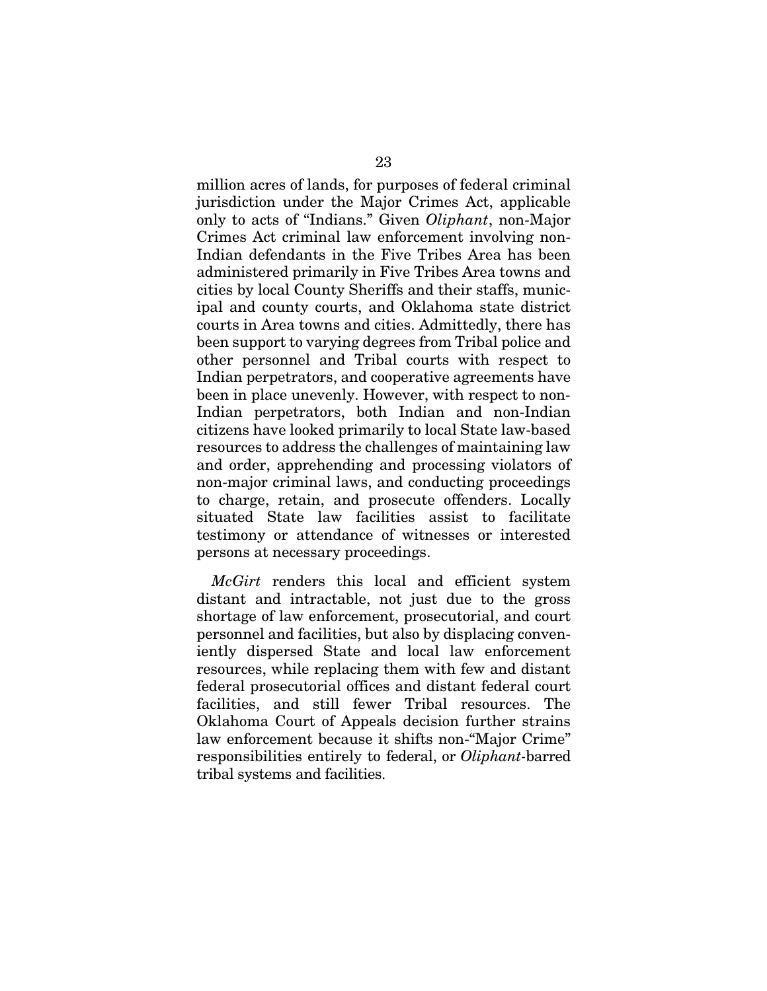million acres of lands, for purposes of federal criminal jurisdiction under the Major Crimes Act, applicable only to acts of "Indians." Given *Oliphant*, non-Major Crimes Act criminal law enforcement involving non-Indian defendants in the Five Tribes Area has been administered primarily in Five Tribes Area towns and cities by local County Sheriffs and their staffs, municipal and county courts, and Oklahoma state district courts in Area towns and cities. Admittedly, there has been support to varying degrees from Tribal police and other personnel and Tribal courts with respect to Indian perpetrators, and cooperative agreements have been in place unevenly. However, with respect to non-Indian perpetrators, both Indian and non-Indian citizens have looked primarily to local State law-based resources to address the challenges of maintaining law and order, apprehending and processing violators of non-major criminal laws, and conducting proceedings to charge, retain, and prosecute offenders. Locally situated State law facilities assist to facilitate testimony or attendance of witnesses or interested persons at necessary proceedings.

*McGirt* renders this local and efficient system distant and intractable, not just due to the gross shortage of law enforcement, prosecutorial, and court personnel and facilities, but also by displacing conveniently dispersed State and local law enforcement resources, while replacing them with few and distant federal prosecutorial offices and distant federal court facilities, and still fewer Tribal resources. The Oklahoma Court of Appeals decision further strains law enforcement because it shifts non-"Major Crime" responsibilities entirely to federal, or *Oliphant-*barred tribal systems and facilities.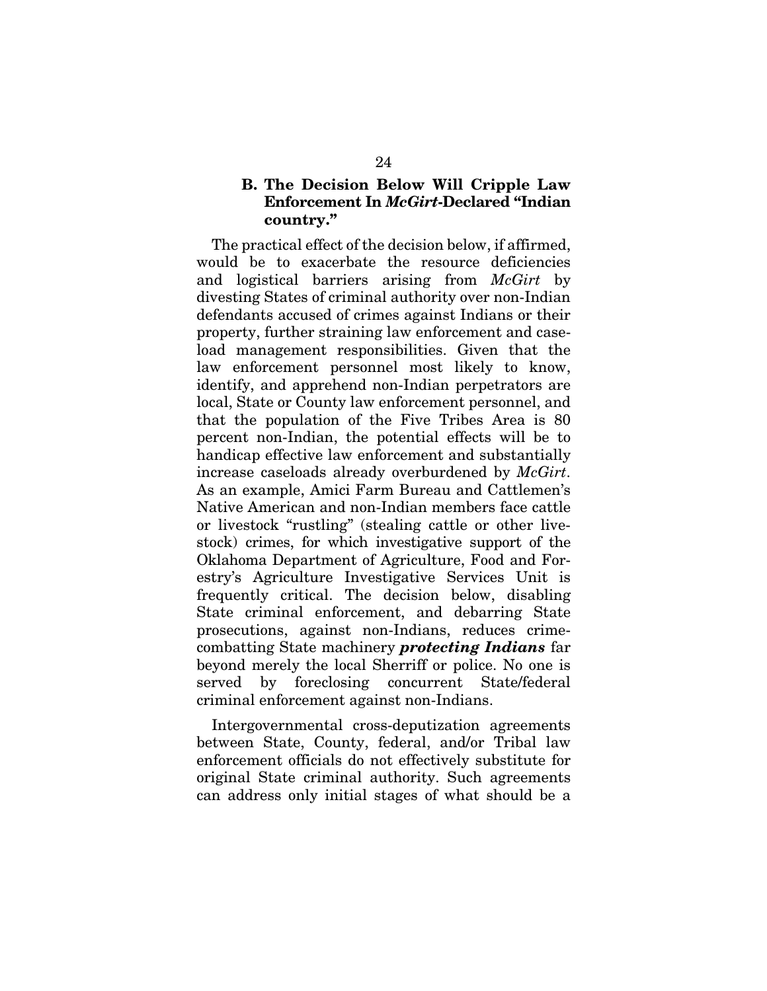### B. The Decision Below Will Cripple Law Enforcement In *McGirt*-Declared "Indian country."

The practical effect of the decision below, if affirmed, would be to exacerbate the resource deficiencies and logistical barriers arising from *McGirt* by divesting States of criminal authority over non-Indian defendants accused of crimes against Indians or their property, further straining law enforcement and caseload management responsibilities. Given that the law enforcement personnel most likely to know, identify, and apprehend non-Indian perpetrators are local, State or County law enforcement personnel, and that the population of the Five Tribes Area is 80 percent non-Indian, the potential effects will be to handicap effective law enforcement and substantially increase caseloads already overburdened by *McGirt*. As an example, Amici Farm Bureau and Cattlemen's Native American and non-Indian members face cattle or livestock "rustling" (stealing cattle or other livestock) crimes, for which investigative support of the Oklahoma Department of Agriculture, Food and Forestry's Agriculture Investigative Services Unit is frequently critical. The decision below, disabling State criminal enforcement, and debarring State prosecutions, against non-Indians, reduces crimecombatting State machinery *protecting Indians* far beyond merely the local Sherriff or police. No one is served by foreclosing concurrent State/federal criminal enforcement against non-Indians.

Intergovernmental cross-deputization agreements between State, County, federal, and/or Tribal law enforcement officials do not effectively substitute for original State criminal authority. Such agreements can address only initial stages of what should be a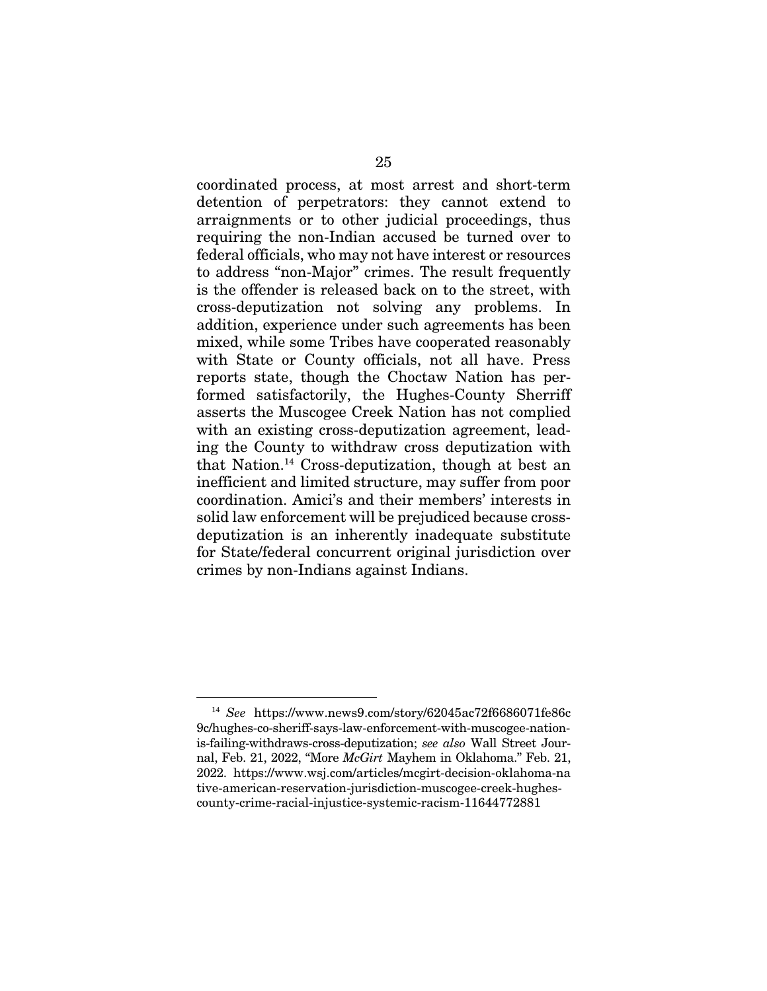coordinated process, at most arrest and short-term detention of perpetrators: they cannot extend to arraignments or to other judicial proceedings, thus requiring the non-Indian accused be turned over to federal officials, who may not have interest or resources to address "non-Major" crimes. The result frequently is the offender is released back on to the street, with cross-deputization not solving any problems. In addition, experience under such agreements has been mixed, while some Tribes have cooperated reasonably with State or County officials, not all have. Press reports state, though the Choctaw Nation has performed satisfactorily, the Hughes-County Sherriff asserts the Muscogee Creek Nation has not complied with an existing cross-deputization agreement, leading the County to withdraw cross deputization with that Nation.14 Cross-deputization, though at best an inefficient and limited structure, may suffer from poor coordination. Amici's and their members' interests in solid law enforcement will be prejudiced because crossdeputization is an inherently inadequate substitute for State/federal concurrent original jurisdiction over crimes by non-Indians against Indians.

<sup>14</sup> *See* https://www.news9.com/story/62045ac72f6686071fe86c 9c/hughes-co-sheriff-says-law-enforcement-with-muscogee-nationis-failing-withdraws-cross-deputization; *see also* Wall Street Journal, Feb. 21, 2022, "More *McGirt* Mayhem in Oklahoma." Feb. 21, 2022. https://www.wsj.com/articles/mcgirt-decision-oklahoma-na tive-american-reservation-jurisdiction-muscogee-creek-hughescounty-crime-racial-injustice-systemic-racism-11644772881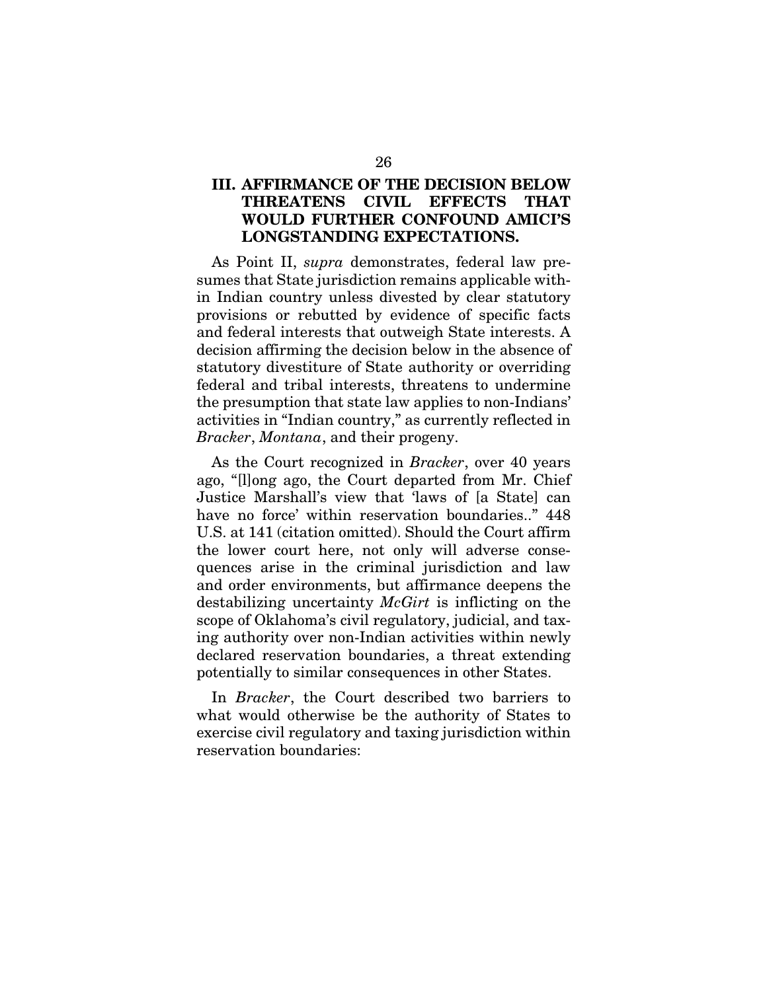### III. AFFIRMANCE OF THE DECISION BELOW THREATENS CIVIL EFFECTS THAT WOULD FURTHER CONFOUND AMICI'S LONGSTANDING EXPECTATIONS.

As Point II, *supra* demonstrates, federal law presumes that State jurisdiction remains applicable within Indian country unless divested by clear statutory provisions or rebutted by evidence of specific facts and federal interests that outweigh State interests. A decision affirming the decision below in the absence of statutory divestiture of State authority or overriding federal and tribal interests, threatens to undermine the presumption that state law applies to non-Indians' activities in "Indian country," as currently reflected in *Bracker*, *Montana*, and their progeny.

As the Court recognized in *Bracker*, over 40 years ago, "[l]ong ago, the Court departed from Mr. Chief Justice Marshall's view that 'laws of [a State] can have no force' within reservation boundaries.." 448 U.S. at 141 (citation omitted). Should the Court affirm the lower court here, not only will adverse consequences arise in the criminal jurisdiction and law and order environments, but affirmance deepens the destabilizing uncertainty *McGirt* is inflicting on the scope of Oklahoma's civil regulatory, judicial, and taxing authority over non-Indian activities within newly declared reservation boundaries, a threat extending potentially to similar consequences in other States.

In *Bracker*, the Court described two barriers to what would otherwise be the authority of States to exercise civil regulatory and taxing jurisdiction within reservation boundaries: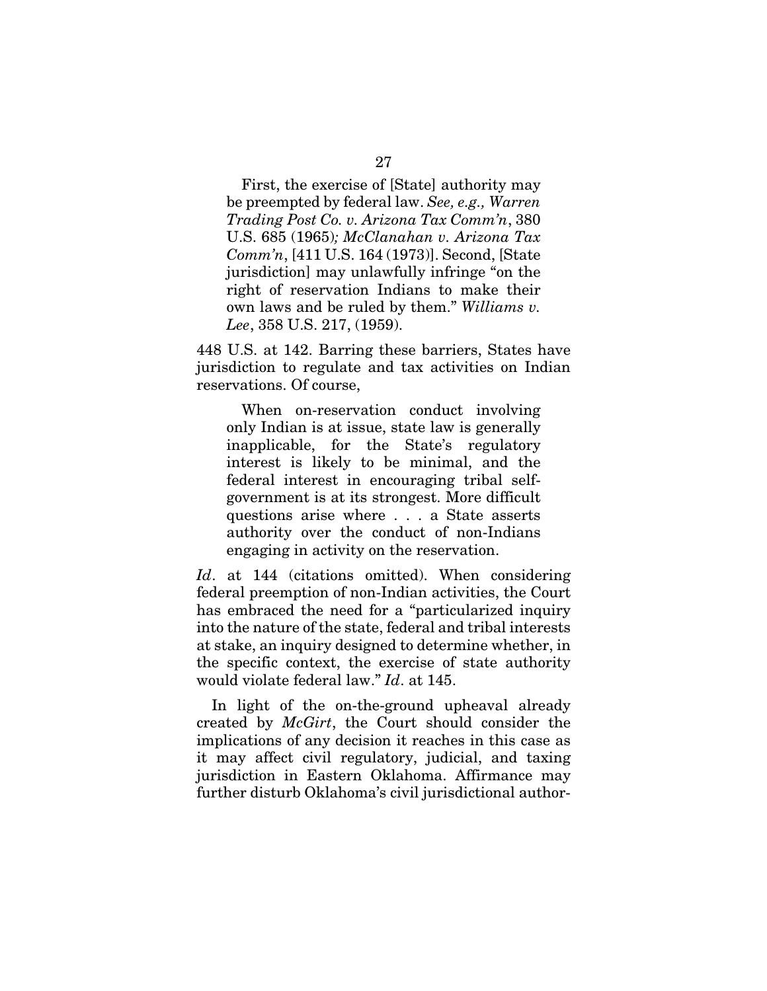First, the exercise of [State] authority may be preempted by federal law. *See, e.g., Warren Trading Post Co. v. Arizona Tax Comm'n*, 380 U.S. 685 (1965)*; McClanahan v. Arizona Tax Comm'n*, [411 U.S. 164 (1973)]. Second, [State jurisdiction] may unlawfully infringe "on the right of reservation Indians to make their own laws and be ruled by them." *Williams v. Lee*, 358 U.S. 217, (1959).

448 U.S. at 142. Barring these barriers, States have jurisdiction to regulate and tax activities on Indian reservations. Of course,

When on-reservation conduct involving only Indian is at issue, state law is generally inapplicable, for the State's regulatory interest is likely to be minimal, and the federal interest in encouraging tribal selfgovernment is at its strongest. More difficult questions arise where . . . a State asserts authority over the conduct of non-Indians engaging in activity on the reservation.

*Id*. at 144 (citations omitted). When considering federal preemption of non-Indian activities, the Court has embraced the need for a "particularized inquiry into the nature of the state, federal and tribal interests at stake, an inquiry designed to determine whether, in the specific context, the exercise of state authority would violate federal law." *Id*. at 145.

In light of the on-the-ground upheaval already created by *McGirt*, the Court should consider the implications of any decision it reaches in this case as it may affect civil regulatory, judicial, and taxing jurisdiction in Eastern Oklahoma. Affirmance may further disturb Oklahoma's civil jurisdictional author-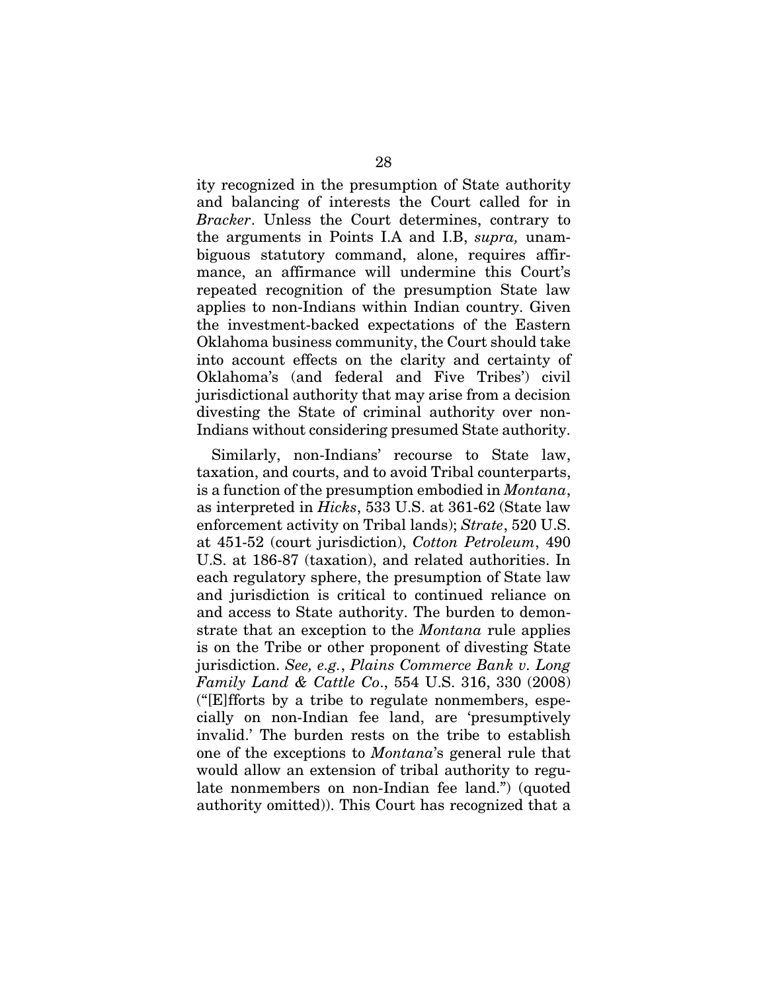ity recognized in the presumption of State authority and balancing of interests the Court called for in *Bracker*. Unless the Court determines, contrary to the arguments in Points I.A and I.B, *supra,* unambiguous statutory command, alone, requires affirmance, an affirmance will undermine this Court's repeated recognition of the presumption State law applies to non-Indians within Indian country. Given the investment-backed expectations of the Eastern Oklahoma business community, the Court should take into account effects on the clarity and certainty of Oklahoma's (and federal and Five Tribes') civil jurisdictional authority that may arise from a decision divesting the State of criminal authority over non-Indians without considering presumed State authority.

Similarly, non-Indians' recourse to State law, taxation, and courts, and to avoid Tribal counterparts, is a function of the presumption embodied in *Montana*, as interpreted in *Hicks*, 533 U.S. at 361-62 (State law enforcement activity on Tribal lands); *Strate*, 520 U.S. at 451-52 (court jurisdiction), *Cotton Petroleum*, 490 U.S. at 186-87 (taxation), and related authorities. In each regulatory sphere, the presumption of State law and jurisdiction is critical to continued reliance on and access to State authority. The burden to demonstrate that an exception to the *Montana* rule applies is on the Tribe or other proponent of divesting State jurisdiction. *See, e.g.*, *Plains Commerce Bank v. Long Family Land & Cattle Co*., 554 U.S. 316, 330 (2008) ("[E]fforts by a tribe to regulate nonmembers, especially on non-Indian fee land, are 'presumptively invalid.' The burden rests on the tribe to establish one of the exceptions to *Montana*'s general rule that would allow an extension of tribal authority to regulate nonmembers on non-Indian fee land.") (quoted authority omitted)). This Court has recognized that a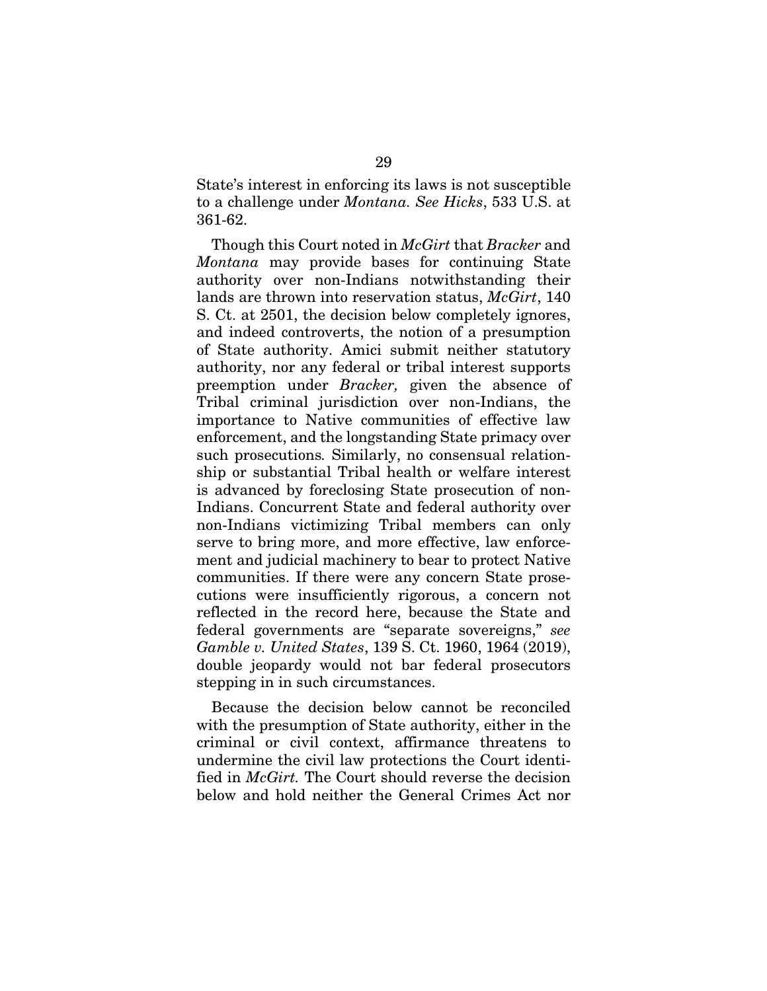State's interest in enforcing its laws is not susceptible to a challenge under *Montana. See Hicks*, 533 U.S. at 361-62.

Though this Court noted in *McGirt* that *Bracker* and *Montana* may provide bases for continuing State authority over non-Indians notwithstanding their lands are thrown into reservation status, *McGirt*, 140 S. Ct. at 2501, the decision below completely ignores, and indeed controverts, the notion of a presumption of State authority. Amici submit neither statutory authority, nor any federal or tribal interest supports preemption under *Bracker,* given the absence of Tribal criminal jurisdiction over non-Indians, the importance to Native communities of effective law enforcement, and the longstanding State primacy over such prosecutions*.* Similarly, no consensual relationship or substantial Tribal health or welfare interest is advanced by foreclosing State prosecution of non-Indians. Concurrent State and federal authority over non-Indians victimizing Tribal members can only serve to bring more, and more effective, law enforcement and judicial machinery to bear to protect Native communities. If there were any concern State prosecutions were insufficiently rigorous, a concern not reflected in the record here, because the State and federal governments are "separate sovereigns," *see Gamble v. United States*, 139 S. Ct. 1960, 1964 (2019), double jeopardy would not bar federal prosecutors stepping in in such circumstances.

Because the decision below cannot be reconciled with the presumption of State authority, either in the criminal or civil context, affirmance threatens to undermine the civil law protections the Court identified in *McGirt.* The Court should reverse the decision below and hold neither the General Crimes Act nor